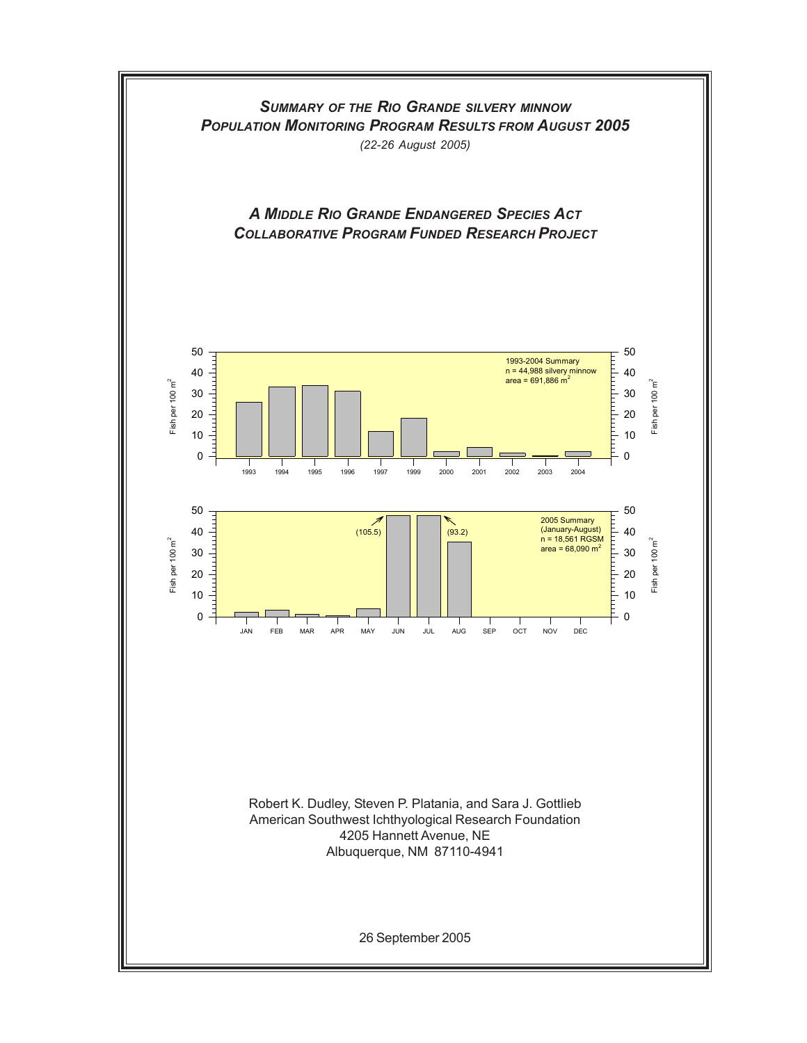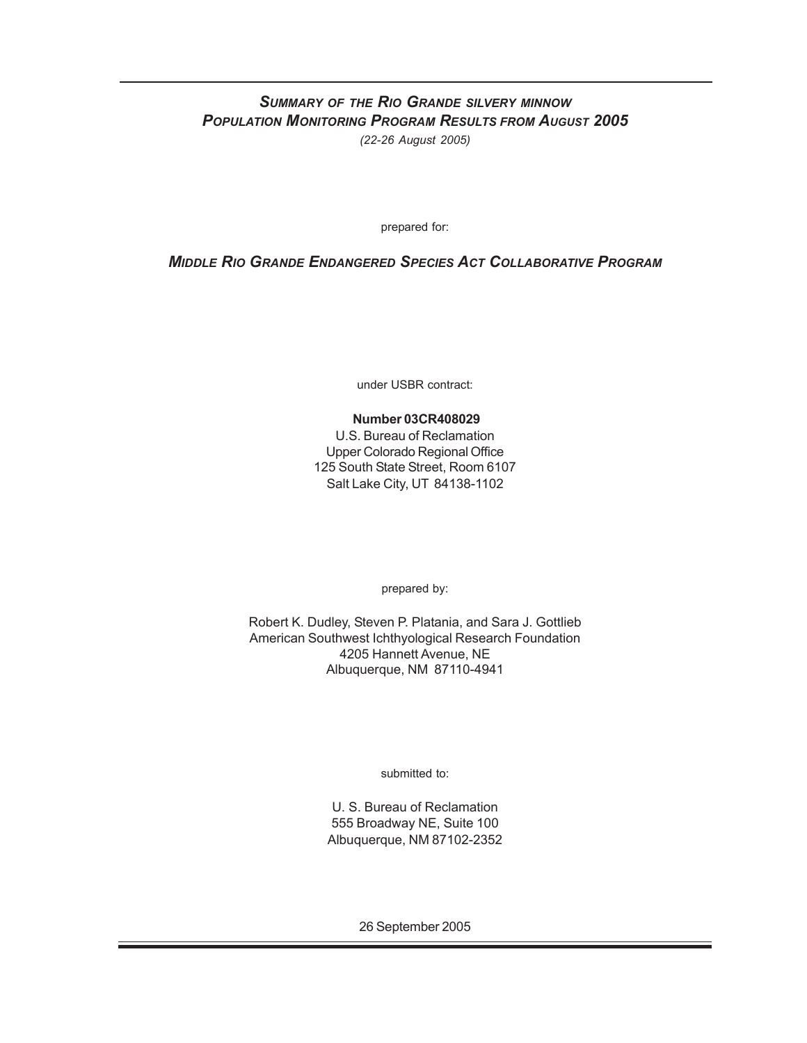## *SUMMARY OF THE RIO GRANDE SILVERY MINNOW POPULATION MONITORING PROGRAM RESULTS FROM AUGUST 2005 (22-26 August 2005)*

prepared for:

## *MIDDLE RIO GRANDE ENDANGERED SPECIES ACT COLLABORATIVE PROGRAM*

under USBR contract:

### **Number 03CR408029**

U.S. Bureau of Reclamation Upper Colorado Regional Office 125 South State Street, Room 6107 Salt Lake City, UT 84138-1102

prepared by:

Robert K. Dudley, Steven P. Platania, and Sara J. Gottlieb American Southwest Ichthyological Research Foundation 4205 Hannett Avenue, NE Albuquerque, NM 87110-4941

submitted to:

U. S. Bureau of Reclamation 555 Broadway NE, Suite 100 Albuquerque, NM 87102-2352

26 September 2005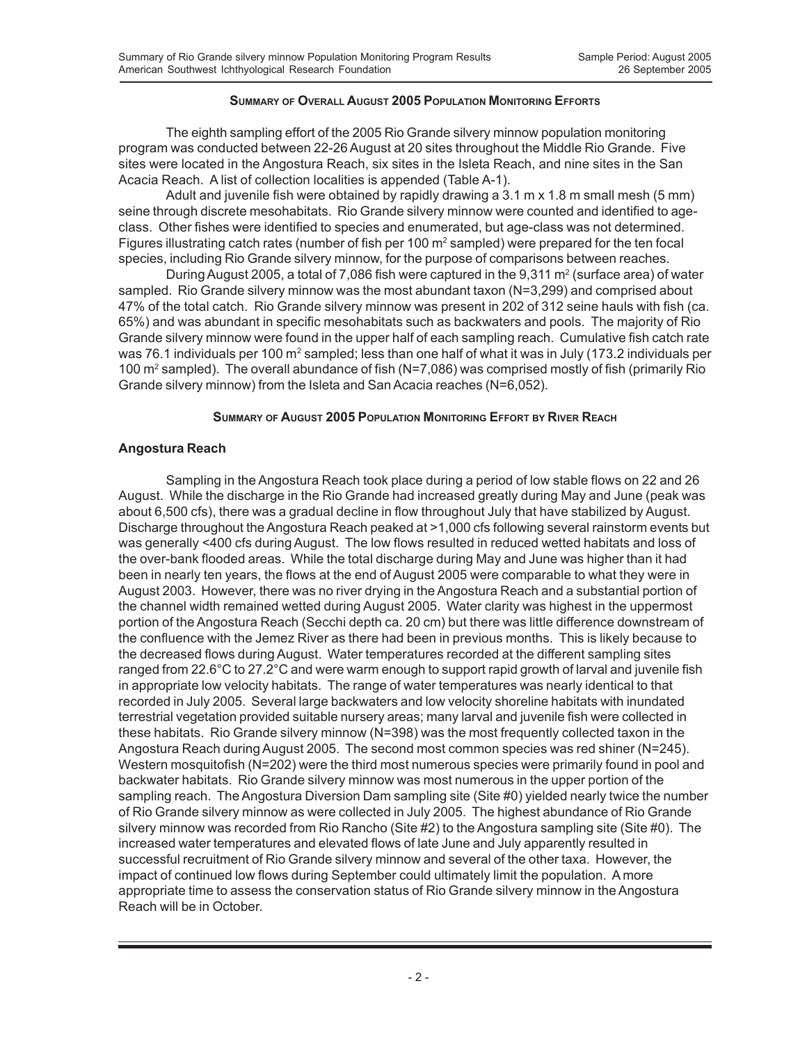### **SUMMARY OF OVERALL AUGUST 2005 POPULATION MONITORING EFFORTS**

The eighth sampling effort of the 2005 Rio Grande silvery minnow population monitoring program was conducted between 22-26 August at 20 sites throughout the Middle Rio Grande. Five sites were located in the Angostura Reach, six sites in the Isleta Reach, and nine sites in the San Acacia Reach. A list of collection localities is appended (Table A-1).

Adult and juvenile fish were obtained by rapidly drawing a 3.1 m x 1.8 m small mesh (5 mm) seine through discrete mesohabitats. Rio Grande silvery minnow were counted and identified to ageclass. Other fishes were identified to species and enumerated, but age-class was not determined. Figures illustrating catch rates (number of fish per 100 m<sup>2</sup> sampled) were prepared for the ten focal species, including Rio Grande silvery minnow, for the purpose of comparisons between reaches.

During August 2005, a total of 7,086 fish were captured in the  $9,311 \text{ m}^2$  (surface area) of water sampled. Rio Grande silvery minnow was the most abundant taxon (N=3,299) and comprised about 47% of the total catch. Rio Grande silvery minnow was present in 202 of 312 seine hauls with fish (ca. 65%) and was abundant in specific mesohabitats such as backwaters and pools. The majority of Rio Grande silvery minnow were found in the upper half of each sampling reach. Cumulative fish catch rate was 76.1 individuals per 100 m $^2$  sampled; less than one half of what it was in July (173.2 individuals per 100 m<sup>2</sup> sampled). The overall abundance of fish (N=7,086) was comprised mostly of fish (primarily Rio Grande silvery minnow) from the Isleta and San Acacia reaches (N=6,052).

### **SUMMARY OF AUGUST 2005 POPULATION MONITORING EFFORT BY RIVER REACH**

### **Angostura Reach**

Sampling in the Angostura Reach took place during a period of low stable flows on 22 and 26 August. While the discharge in the Rio Grande had increased greatly during May and June (peak was about 6,500 cfs), there was a gradual decline in flow throughout July that have stabilized by August. Discharge throughout the Angostura Reach peaked at >1,000 cfs following several rainstorm events but was generally <400 cfs during August. The low flows resulted in reduced wetted habitats and loss of the over-bank flooded areas. While the total discharge during May and June was higher than it had been in nearly ten years, the flows at the end of August 2005 were comparable to what they were in August 2003. However, there was no river drying in the Angostura Reach and a substantial portion of the channel width remained wetted during August 2005. Water clarity was highest in the uppermost portion of the Angostura Reach (Secchi depth ca. 20 cm) but there was little difference downstream of the confluence with the Jemez River as there had been in previous months. This is likely because to the decreased flows during August. Water temperatures recorded at the different sampling sites ranged from 22.6°C to 27.2°C and were warm enough to support rapid growth of larval and juvenile fish in appropriate low velocity habitats. The range of water temperatures was nearly identical to that recorded in July 2005. Several large backwaters and low velocity shoreline habitats with inundated terrestrial vegetation provided suitable nursery areas; many larval and juvenile fish were collected in these habitats. Rio Grande silvery minnow (N=398) was the most frequently collected taxon in the Angostura Reach during August 2005. The second most common species was red shiner (N=245). Western mosquitofish (N=202) were the third most numerous species were primarily found in pool and backwater habitats. Rio Grande silvery minnow was most numerous in the upper portion of the sampling reach. The Angostura Diversion Dam sampling site (Site #0) yielded nearly twice the number of Rio Grande silvery minnow as were collected in July 2005. The highest abundance of Rio Grande silvery minnow was recorded from Rio Rancho (Site #2) to the Angostura sampling site (Site #0). The increased water temperatures and elevated flows of late June and July apparently resulted in successful recruitment of Rio Grande silvery minnow and several of the other taxa. However, the impact of continued low flows during September could ultimately limit the population. A more appropriate time to assess the conservation status of Rio Grande silvery minnow in the Angostura Reach will be in October.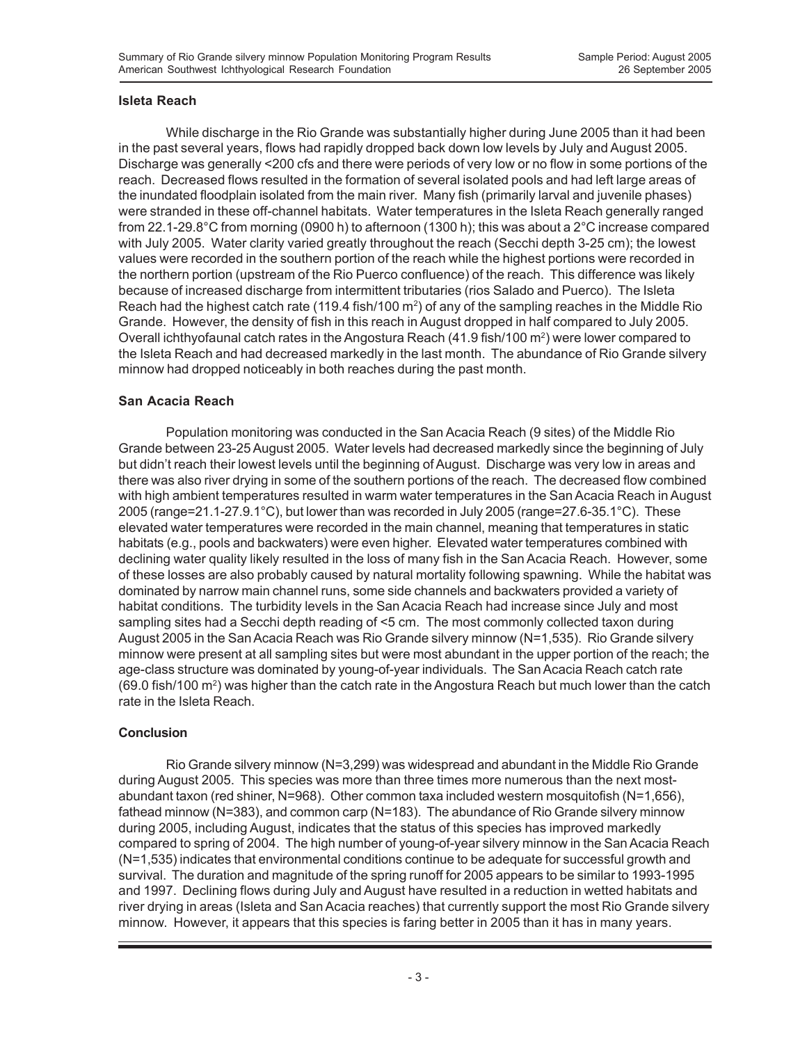### **Isleta Reach**

While discharge in the Rio Grande was substantially higher during June 2005 than it had been in the past several years, flows had rapidly dropped back down low levels by July and August 2005. Discharge was generally <200 cfs and there were periods of very low or no flow in some portions of the reach. Decreased flows resulted in the formation of several isolated pools and had left large areas of the inundated floodplain isolated from the main river. Many fish (primarily larval and juvenile phases) were stranded in these off-channel habitats. Water temperatures in the Isleta Reach generally ranged from 22.1-29.8°C from morning (0900 h) to afternoon (1300 h); this was about a 2°C increase compared with July 2005. Water clarity varied greatly throughout the reach (Secchi depth 3-25 cm); the lowest values were recorded in the southern portion of the reach while the highest portions were recorded in the northern portion (upstream of the Rio Puerco confluence) of the reach. This difference was likely because of increased discharge from intermittent tributaries (rios Salado and Puerco). The Isleta Reach had the highest catch rate (119.4 fish/100 m<sup>2</sup>) of any of the sampling reaches in the Middle Rio Grande. However, the density of fish in this reach in August dropped in half compared to July 2005. Overall ichthyofaunal catch rates in the Angostura Reach (41.9 fish/100 m<sup>2</sup>) were lower compared to the Isleta Reach and had decreased markedly in the last month. The abundance of Rio Grande silvery minnow had dropped noticeably in both reaches during the past month.

### **San Acacia Reach**

Population monitoring was conducted in the San Acacia Reach (9 sites) of the Middle Rio Grande between 23-25 August 2005. Water levels had decreased markedly since the beginning of July but didn't reach their lowest levels until the beginning of August. Discharge was very low in areas and there was also river drying in some of the southern portions of the reach. The decreased flow combined with high ambient temperatures resulted in warm water temperatures in the San Acacia Reach in August 2005 (range=21.1-27.9.1°C), but lower than was recorded in July 2005 (range=27.6-35.1°C). These elevated water temperatures were recorded in the main channel, meaning that temperatures in static habitats (e.g., pools and backwaters) were even higher. Elevated water temperatures combined with declining water quality likely resulted in the loss of many fish in the San Acacia Reach. However, some of these losses are also probably caused by natural mortality following spawning. While the habitat was dominated by narrow main channel runs, some side channels and backwaters provided a variety of habitat conditions. The turbidity levels in the San Acacia Reach had increase since July and most sampling sites had a Secchi depth reading of <5 cm. The most commonly collected taxon during August 2005 in the San Acacia Reach was Rio Grande silvery minnow (N=1,535). Rio Grande silvery minnow were present at all sampling sites but were most abundant in the upper portion of the reach; the age-class structure was dominated by young-of-year individuals. The San Acacia Reach catch rate (69.0 fish/100 m<sup>2</sup>) was higher than the catch rate in the Angostura Reach but much lower than the catch rate in the Isleta Reach.

### **Conclusion**

Rio Grande silvery minnow (N=3,299) was widespread and abundant in the Middle Rio Grande during August 2005. This species was more than three times more numerous than the next mostabundant taxon (red shiner, N=968). Other common taxa included western mosquitofish (N=1,656), fathead minnow (N=383), and common carp (N=183). The abundance of Rio Grande silvery minnow during 2005, including August, indicates that the status of this species has improved markedly compared to spring of 2004. The high number of young-of-year silvery minnow in the San Acacia Reach (N=1,535) indicates that environmental conditions continue to be adequate for successful growth and survival. The duration and magnitude of the spring runoff for 2005 appears to be similar to 1993-1995 and 1997. Declining flows during July and August have resulted in a reduction in wetted habitats and river drying in areas (Isleta and San Acacia reaches) that currently support the most Rio Grande silvery minnow. However, it appears that this species is faring better in 2005 than it has in many years.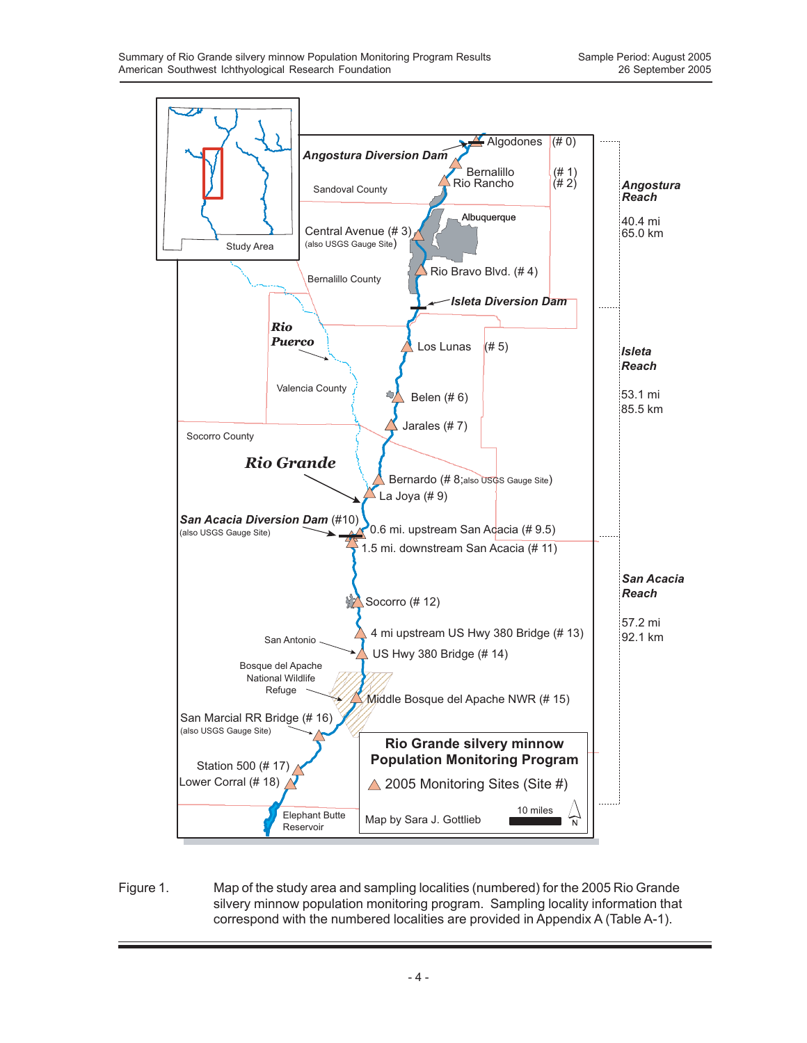

Figure 1. Map of the study area and sampling localities (numbered) for the 2005 Rio Grande silvery minnow population monitoring program. Sampling locality information that correspond with the numbered localities are provided in Appendix A (Table A-1).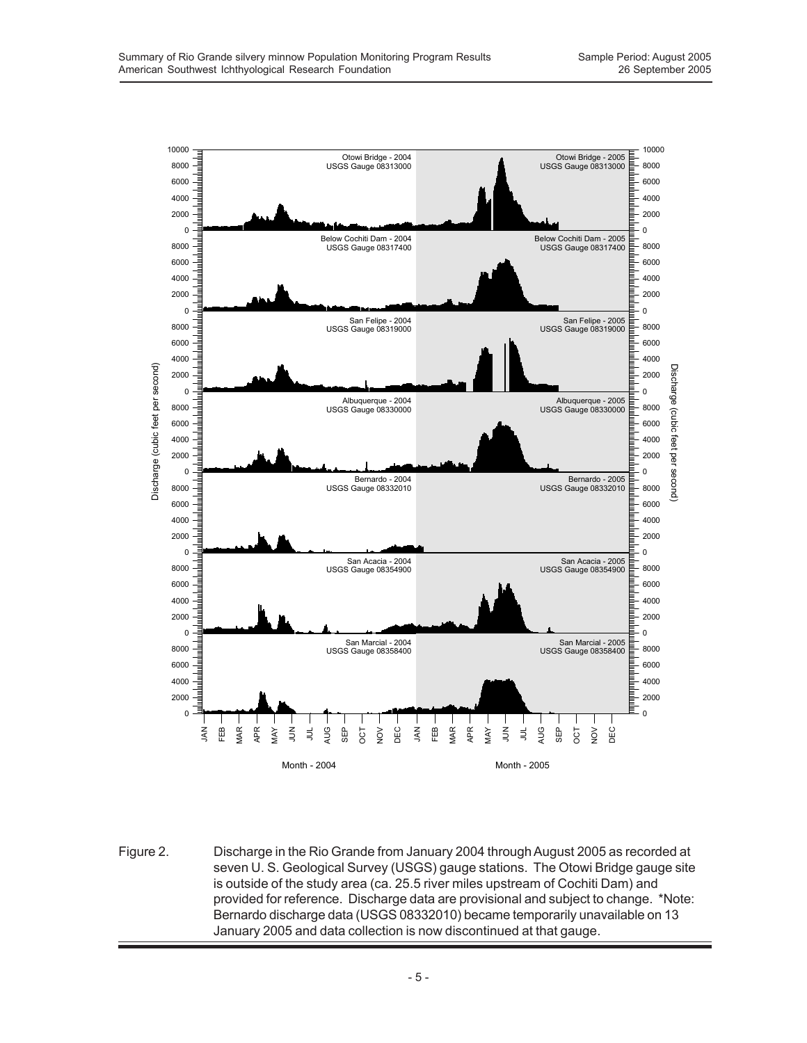

Figure 2. Discharge in the Rio Grande from January 2004 through August 2005 as recorded at seven U. S. Geological Survey (USGS) gauge stations. The Otowi Bridge gauge site is outside of the study area (ca. 25.5 river miles upstream of Cochiti Dam) and provided for reference. Discharge data are provisional and subject to change. \*Note: Bernardo discharge data (USGS 08332010) became temporarily unavailable on 13 January 2005 and data collection is now discontinued at that gauge.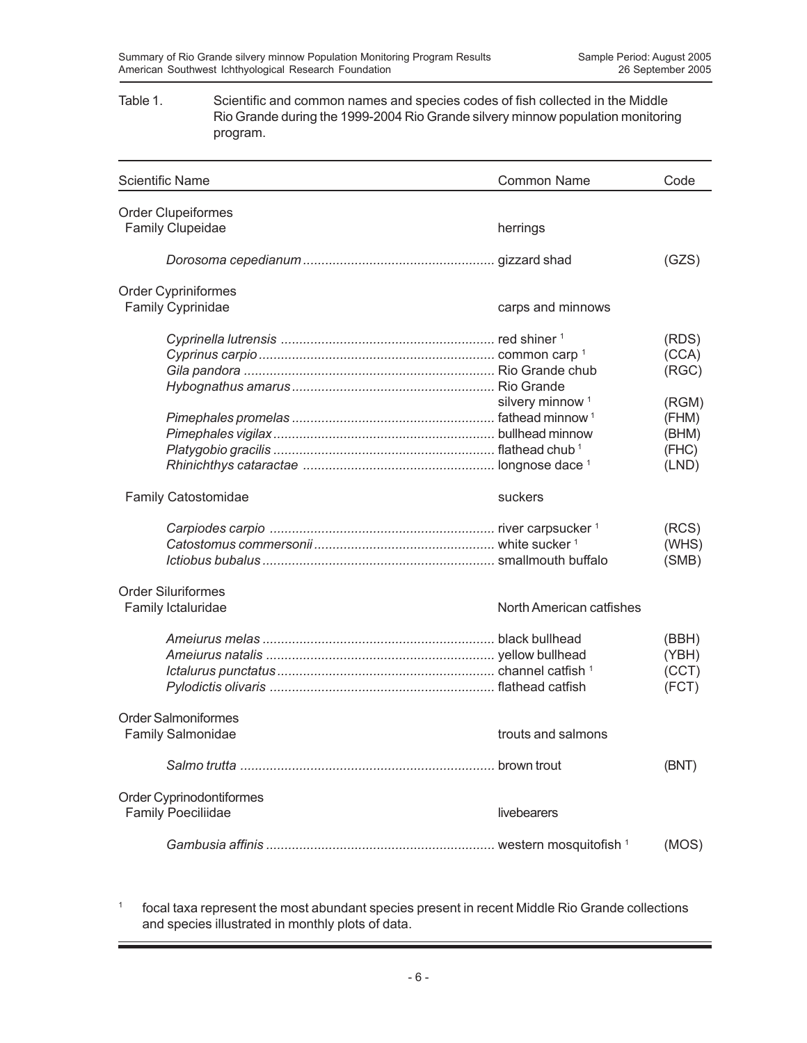### Table 1. Scientific and common names and species codes of fish collected in the Middle Rio Grande during the 1999-2004 Rio Grande silvery minnow population monitoring program.

| <b>Scientific Name</b>     | <b>Common Name</b>          | Code  |
|----------------------------|-----------------------------|-------|
| <b>Order Clupeiformes</b>  |                             |       |
| <b>Family Clupeidae</b>    | herrings                    |       |
|                            |                             | (GZS) |
| Order Cypriniformes        |                             |       |
| Family Cyprinidae          | carps and minnows           |       |
|                            |                             | (RDS) |
|                            |                             | (CCA) |
|                            |                             | (RGC) |
|                            |                             |       |
|                            | silvery minnow <sup>1</sup> | (RGM) |
|                            |                             | (FHM) |
|                            |                             | (BHM) |
|                            |                             | (FHC) |
|                            |                             | (LND) |
| <b>Family Catostomidae</b> | suckers                     |       |
|                            |                             | (RCS) |
|                            |                             | (WHS) |
|                            |                             | (SMB) |
| <b>Order Siluriformes</b>  |                             |       |
| Family Ictaluridae         | North American catfishes    |       |
|                            |                             | (BBH) |
|                            |                             | (YBH) |
|                            |                             | (CCT) |
|                            |                             | (FCT) |
| <b>Order Salmoniformes</b> |                             |       |
| <b>Family Salmonidae</b>   | trouts and salmons          |       |
|                            |                             | (BNT) |
| Order Cyprinodontiformes   |                             |       |
| <b>Family Poeciliidae</b>  | livebearers                 |       |
|                            |                             | (MOS) |

<sup>1</sup> focal taxa represent the most abundant species present in recent Middle Rio Grande collections and species illustrated in monthly plots of data.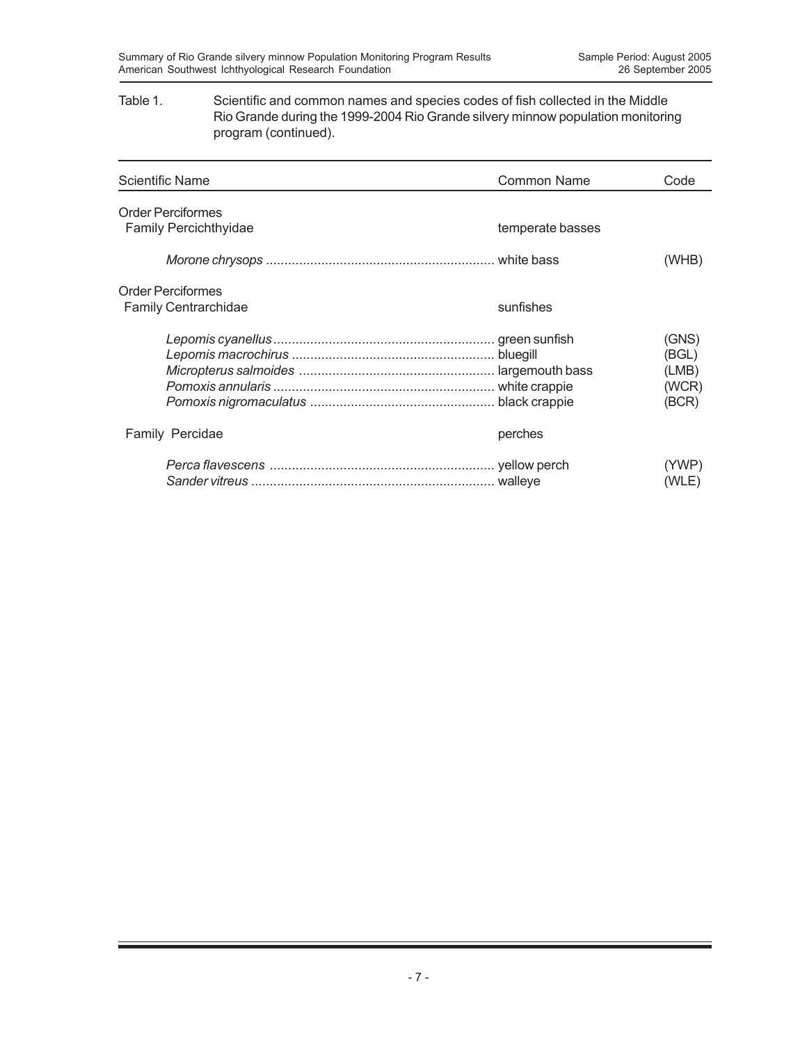### Table 1. Scientific and common names and species codes of fish collected in the Middle Rio Grande during the 1999-2004 Rio Grande silvery minnow population monitoring program (continued).

| <b>Scientific Name</b>                                  | <b>Common Name</b> | Code                                      |
|---------------------------------------------------------|--------------------|-------------------------------------------|
| <b>Order Perciformes</b><br>Family Percichthyidae       | temperate basses   |                                           |
|                                                         |                    | (WHB)                                     |
| <b>Order Perciformes</b><br><b>Family Centrarchidae</b> | sunfishes          |                                           |
|                                                         |                    | (GNS)<br>(BGL)<br>(LMB)<br>(WCR)<br>(BCR) |
| Family Percidae                                         | perches            |                                           |
|                                                         |                    | (YWP)<br>(WLE)                            |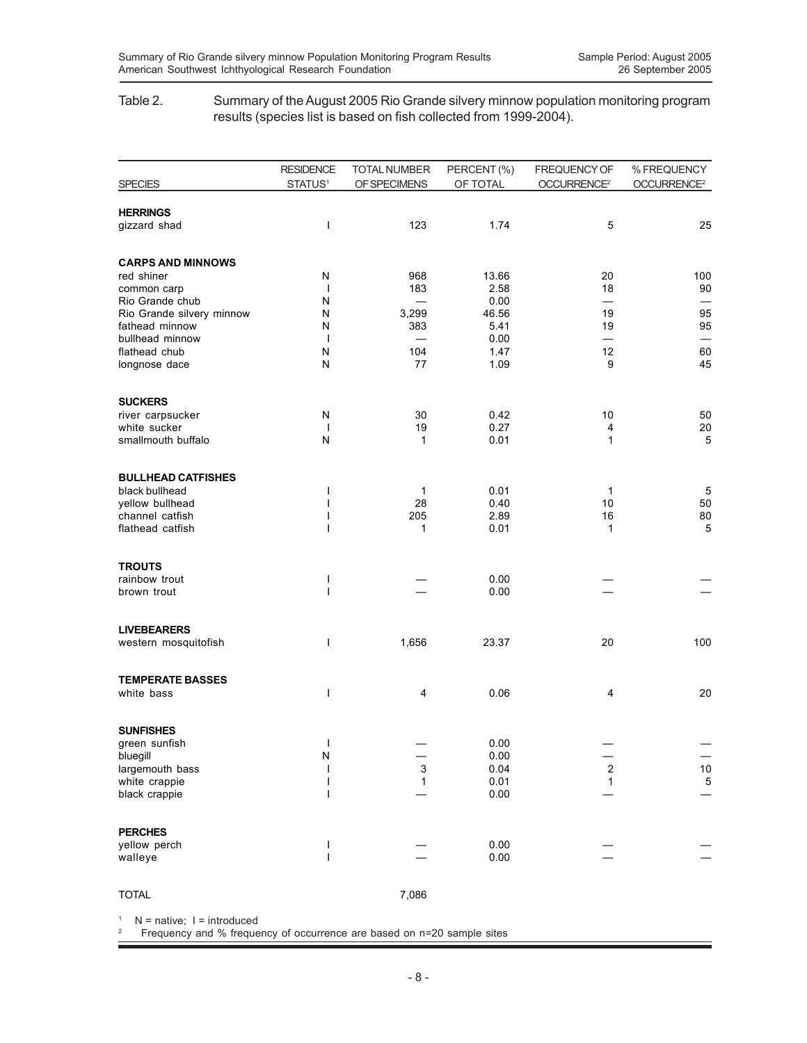### Table 2. Summary of the August 2005 Rio Grande silvery minnow population monitoring program results (species list is based on fish collected from 1999-2004).

| <b>SPECIES</b>                      | <b>RESIDENCE</b><br>STATUS <sup>1</sup> | <b>TOTAL NUMBER</b><br>OF SPECIMENS | PERCENT (%)<br>OF TOTAL | FREQUENCY OF<br>OCCURRENCE <sup>2</sup> | % FREQUENCY<br>OCCURRENCE <sup>2</sup> |
|-------------------------------------|-----------------------------------------|-------------------------------------|-------------------------|-----------------------------------------|----------------------------------------|
|                                     |                                         |                                     |                         |                                         |                                        |
| <b>HERRINGS</b>                     |                                         |                                     |                         |                                         |                                        |
| gizzard shad                        | $\mathbf{I}$                            | 123                                 | 1.74                    | 5                                       | 25                                     |
| <b>CARPS AND MINNOWS</b>            |                                         |                                     |                         |                                         |                                        |
| red shiner                          | Ν                                       | 968                                 | 13.66                   | 20                                      | 100                                    |
| common carp                         | $\overline{\phantom{a}}$                | 183                                 | 2.58                    | 18                                      | 90                                     |
| Rio Grande chub                     | N                                       | $\overline{\phantom{0}}$            | 0.00                    | $\overline{\phantom{0}}$                |                                        |
| Rio Grande silvery minnow           | N                                       | 3,299                               | 46.56                   | 19                                      | 95                                     |
| fathead minnow                      | Ν                                       | 383                                 | 5.41                    | 19                                      | 95                                     |
| bullhead minnow<br>flathead chub    | $\mathbf{I}$<br>N                       | 104                                 | 0.00<br>1.47            | 12                                      | 60                                     |
| longnose dace                       | N                                       | 77                                  | 1.09                    | 9                                       | 45                                     |
|                                     |                                         |                                     |                         |                                         |                                        |
| <b>SUCKERS</b>                      | N                                       | 30                                  | 0.42                    | 10                                      | 50                                     |
| river carpsucker<br>white sucker    | $\mathbf{I}$                            | 19                                  | 0.27                    | 4                                       | $20\,$                                 |
| smallmouth buffalo                  | N                                       | 1                                   | 0.01                    | $\mathbf{1}$                            | 5                                      |
|                                     |                                         |                                     |                         |                                         |                                        |
| <b>BULLHEAD CATFISHES</b>           |                                         |                                     |                         |                                         |                                        |
| black bullhead                      | ı                                       | 1                                   | 0.01                    | 1                                       | $\sqrt{5}$                             |
| yellow bullhead                     | I<br>ı                                  | 28                                  | 0.40                    | 10                                      | 50                                     |
| channel catfish<br>flathead catfish | ı                                       | 205<br>1                            | 2.89<br>0.01            | 16<br>1                                 | 80<br>$\overline{5}$                   |
|                                     |                                         |                                     |                         |                                         |                                        |
| <b>TROUTS</b>                       |                                         |                                     |                         |                                         |                                        |
| rainbow trout                       | ı                                       |                                     | 0.00                    |                                         |                                        |
| brown trout                         | ı                                       |                                     | 0.00                    |                                         |                                        |
| <b>LIVEBEARERS</b>                  |                                         |                                     |                         |                                         |                                        |
| western mosquitofish                | ı                                       | 1,656                               | 23.37                   | 20                                      | 100                                    |
|                                     |                                         |                                     |                         |                                         |                                        |
| <b>TEMPERATE BASSES</b>             |                                         |                                     |                         |                                         |                                        |
| white bass                          | ı                                       | 4                                   | 0.06                    | 4                                       | 20                                     |
|                                     |                                         |                                     |                         |                                         |                                        |
| <b>SUNFISHES</b><br>green sunfish   | $\mathbf{I}$                            |                                     | 0.00                    |                                         |                                        |
| bluegill                            | N                                       |                                     | 0.00                    |                                         |                                        |
| largemouth bass                     |                                         | 3                                   | 0.04                    | $\overline{\mathbf{c}}$                 | 10                                     |
| white crappie                       | I                                       | 1                                   | 0.01                    | $\mathbf{1}$                            | $\mathbf 5$                            |
| black crappie                       | ı                                       |                                     | 0.00                    |                                         |                                        |
| <b>PERCHES</b>                      |                                         |                                     |                         |                                         |                                        |
| yellow perch                        | ı                                       |                                     | 0.00                    |                                         |                                        |
| walleye                             | ı                                       |                                     | 0.00                    |                                         |                                        |
|                                     |                                         | 7,086                               |                         |                                         |                                        |
| <b>TOTAL</b>                        |                                         |                                     |                         |                                         |                                        |

 $1$  N = native; I = introduced

2 Frequency and % frequency of occurrence are based on n=20 sample sites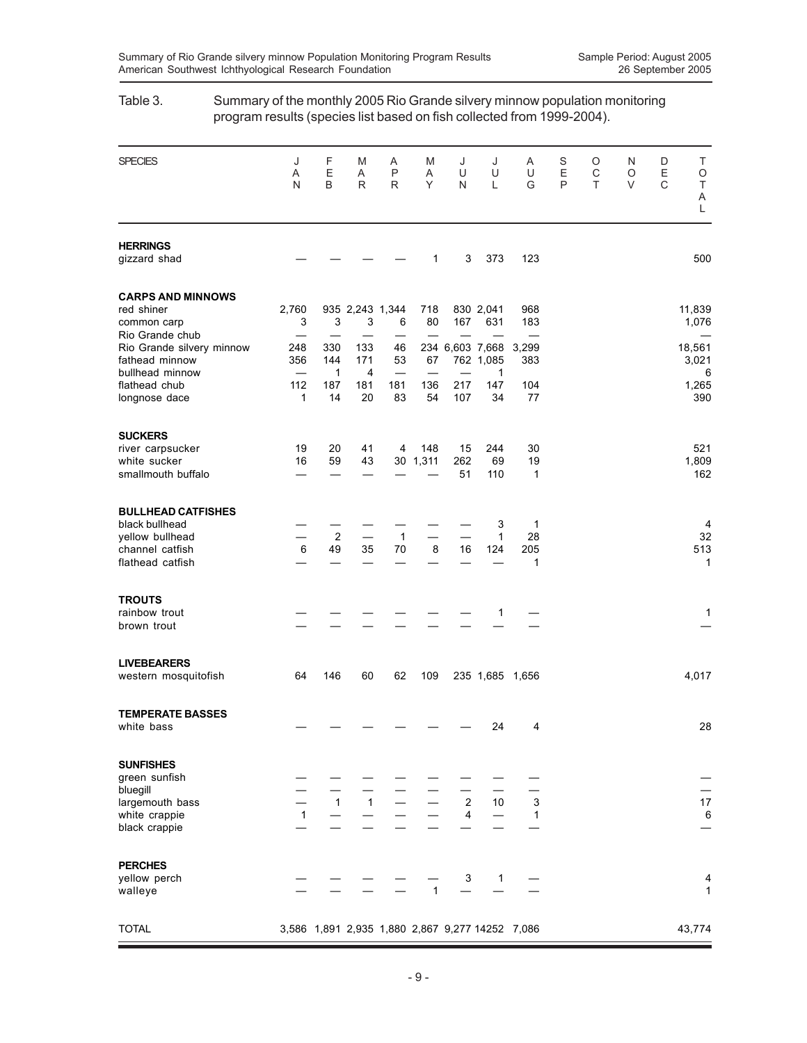| program results (species list based on fish collected from 1999-2004).                                |              |                           |                              |                      |                 |                              |                                   |                                                 |             |             |             |             |                                |
|-------------------------------------------------------------------------------------------------------|--------------|---------------------------|------------------------------|----------------------|-----------------|------------------------------|-----------------------------------|-------------------------------------------------|-------------|-------------|-------------|-------------|--------------------------------|
| <b>SPECIES</b>                                                                                        | J<br>Α<br>N  | F<br>E<br>B               | M<br>Α<br>R                  | A<br>P<br>R          | M<br>Α<br>Υ     | J<br>U<br>N                  | J<br>U<br>L                       | A<br>U<br>G                                     | S<br>E<br>P | O<br>C<br>Τ | N<br>O<br>V | D<br>E<br>C | Τ<br>O<br>$\top$<br>Α<br>L     |
| <b>HERRINGS</b><br>gizzard shad                                                                       |              |                           |                              |                      | 1               | 3                            | 373                               | 123                                             |             |             |             |             | 500                            |
| <b>CARPS AND MINNOWS</b><br>red shiner<br>common carp                                                 | 2,760<br>3   | 3                         | 3                            | 935 2,243 1,344<br>6 | 718<br>80       | 167                          | 830 2,041<br>631                  | 968<br>183                                      |             |             |             |             | 11,839<br>1,076                |
| Rio Grande chub<br>Rio Grande silvery minnow<br>fathead minnow<br>bullhead minnow                     | 248<br>356   | 330<br>144<br>$\mathbf 1$ | 133<br>171<br>$\overline{4}$ | 46<br>53             | 67              |                              | 234 6,603 7,668<br>762 1,085<br>1 | 3,299<br>383                                    |             |             |             |             | 18,561<br>3,021<br>6           |
| flathead chub<br>longnose dace                                                                        | 112<br>1     | 187<br>14                 | 181<br>20                    | 181<br>83            | 136<br>54       | 217<br>107                   | 147<br>34                         | 104<br>77                                       |             |             |             |             | 1,265<br>390                   |
| <b>SUCKERS</b><br>river carpsucker<br>white sucker<br>smallmouth buffalo                              | 19<br>16     | 20<br>59                  | 41<br>43                     | 4                    | 148<br>30 1,311 | 15<br>262<br>51              | 244<br>69<br>110                  | 30<br>19<br>1                                   |             |             |             |             | 521<br>1,809<br>162            |
| <b>BULLHEAD CATFISHES</b><br>black bullhead<br>yellow bullhead<br>channel catfish<br>flathead catfish | 6            | $\overline{2}$<br>49      | 35                           | $\mathbf{1}$<br>70   | 8               | 16                           | 3<br>$\mathbf{1}$<br>124          | 1<br>28<br>205<br>$\mathbf 1$                   |             |             |             |             | 4<br>32<br>513<br>$\mathbf{1}$ |
| <b>TROUTS</b><br>rainbow trout<br>brown trout                                                         |              |                           |                              |                      |                 |                              | 1                                 |                                                 |             |             |             |             | 1                              |
| <b>LIVEBEARERS</b><br>western mosquitofish                                                            | 64           | 146                       | 60                           | 62                   | 109             |                              |                                   | 235 1,685 1,656                                 |             |             |             |             | 4,017                          |
| <b>TEMPERATE BASSES</b><br>white bass                                                                 |              |                           |                              |                      |                 |                              | 24                                | 4                                               |             |             |             |             | 28                             |
| <b>SUNFISHES</b><br>green sunfish<br>bluegill<br>largemouth bass<br>white crappie<br>black crappie    | $\mathbf{1}$ | $\mathbf{1}$              | $\mathbf{1}$                 |                      |                 | $\sqrt{2}$<br>$\overline{4}$ | 10                                | 3<br>1                                          |             |             |             |             | 17<br>6                        |
| <b>PERCHES</b><br>yellow perch<br>walleye                                                             |              |                           |                              |                      | $\mathbf{1}$    | 3                            | $\mathbf{1}$                      |                                                 |             |             |             |             | 4<br>1                         |
| <b>TOTAL</b>                                                                                          |              |                           |                              |                      |                 |                              |                                   | 3,586 1,891 2,935 1,880 2,867 9,277 14252 7,086 |             |             |             |             | 43,774                         |

## Table 3. Summary of the monthly 2005 Rio Grande silvery minnow population monitoring program results (species list based on fish collected from 1999-2004).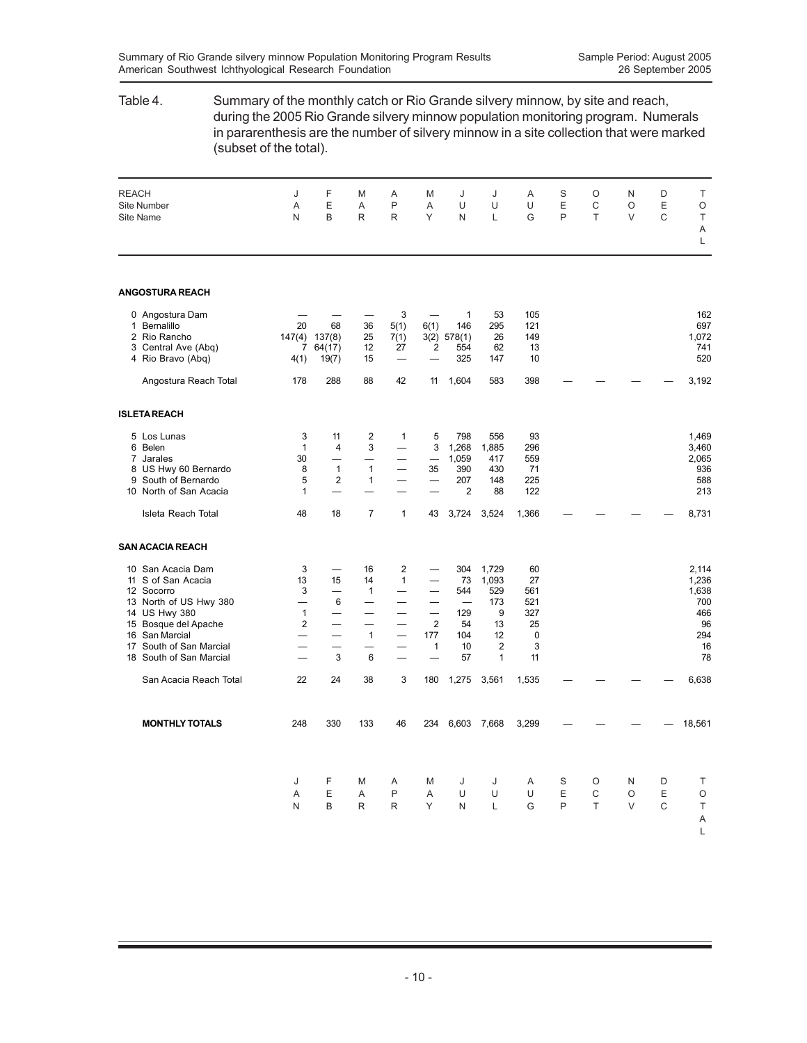| Table 4.                                                                                                                                                                                         | Summary of the monthly catch or Rio Grande silvery minnow, by site and reach,<br>during the 2005 Rio Grande silvery minnow population monitoring program. Numerals<br>in pararenthesis are the number of silvery minnow in a site collection that were marked<br>(subset of the total). |                                           |                                                         |                                                                                                 |                                                                       |                                                                                      |                                                                    |                                                     |             |             |                  |             |                                                                |
|--------------------------------------------------------------------------------------------------------------------------------------------------------------------------------------------------|-----------------------------------------------------------------------------------------------------------------------------------------------------------------------------------------------------------------------------------------------------------------------------------------|-------------------------------------------|---------------------------------------------------------|-------------------------------------------------------------------------------------------------|-----------------------------------------------------------------------|--------------------------------------------------------------------------------------|--------------------------------------------------------------------|-----------------------------------------------------|-------------|-------------|------------------|-------------|----------------------------------------------------------------|
| <b>REACH</b><br><b>Site Number</b><br><b>Site Name</b>                                                                                                                                           | J<br>Α<br>N                                                                                                                                                                                                                                                                             | F<br>E<br>B                               | M<br>A<br>R                                             | Α<br>P<br>R                                                                                     | M<br>Α<br>Y                                                           | J<br>U<br>N                                                                          | J<br>U<br>L                                                        | Α<br>U<br>G                                         | S<br>E<br>P | O<br>C<br>T | N<br>O<br>V      | D<br>Ε<br>C | Т<br>O<br>Τ<br>Α<br>L                                          |
| <b>ANGOSTURA REACH</b>                                                                                                                                                                           |                                                                                                                                                                                                                                                                                         |                                           |                                                         |                                                                                                 |                                                                       |                                                                                      |                                                                    |                                                     |             |             |                  |             |                                                                |
| 0 Angostura Dam<br>1 Bernalillo<br>2 Rio Rancho<br>3 Central Ave (Abq)<br>4 Rio Bravo (Abq)                                                                                                      | 20<br>7<br>4(1)                                                                                                                                                                                                                                                                         | 68<br>147(4) 137(8)<br>64(17)<br>19(7)    | 36<br>25<br>12<br>15                                    | 3<br>5(1)<br>7(1)<br>27                                                                         | 6(1)<br>2                                                             | $\mathbf{1}$<br>146<br>$3(2)$ 578(1)<br>554<br>325                                   | 53<br>295<br>26<br>62<br>147                                       | 105<br>121<br>149<br>13<br>10                       |             |             |                  |             | 162<br>697<br>1,072<br>741<br>520                              |
| Angostura Reach Total                                                                                                                                                                            | 178                                                                                                                                                                                                                                                                                     | 288                                       | 88                                                      | 42                                                                                              | 11                                                                    | 1,604                                                                                | 583                                                                | 398                                                 |             |             |                  |             | 3,192                                                          |
| <b>ISLETAREACH</b>                                                                                                                                                                               |                                                                                                                                                                                                                                                                                         |                                           |                                                         |                                                                                                 |                                                                       |                                                                                      |                                                                    |                                                     |             |             |                  |             |                                                                |
| 5 Los Lunas<br>6 Belen<br>7 Jarales<br>8 US Hwy 60 Bernardo<br>9 South of Bernardo<br>10 North of San Acacia                                                                                     | 3<br>1<br>30<br>8<br>5<br>1                                                                                                                                                                                                                                                             | 11<br>4<br>$\mathbf{1}$<br>$\overline{2}$ | $\overline{\mathbf{c}}$<br>3<br>$\mathbf{1}$<br>1       | 1<br>$\overline{\phantom{0}}$                                                                   | 5<br>3<br>35                                                          | 798<br>1,268<br>1,059<br>390<br>207<br>$\overline{2}$                                | 556<br>1,885<br>417<br>430<br>148<br>88                            | 93<br>296<br>559<br>71<br>225<br>122                |             |             |                  |             | 1,469<br>3,460<br>2,065<br>936<br>588<br>213                   |
| Isleta Reach Total                                                                                                                                                                               | 48                                                                                                                                                                                                                                                                                      | 18                                        | $\overline{7}$                                          | $\mathbf{1}$                                                                                    | 43                                                                    | 3,724                                                                                | 3,524                                                              | 1,366                                               |             |             |                  |             | 8,731                                                          |
| <b>SAN ACACIA REACH</b>                                                                                                                                                                          |                                                                                                                                                                                                                                                                                         |                                           |                                                         |                                                                                                 |                                                                       |                                                                                      |                                                                    |                                                     |             |             |                  |             |                                                                |
| 10 San Acacia Dam<br>11 S of San Acacia<br>12 Socorro<br>13 North of US Hwy 380<br>14 US Hwy 380<br>15 Bosque del Apache<br>16 San Marcial<br>17 South of San Marcial<br>18 South of San Marcial | 3<br>13<br>3<br>$\overline{\phantom{0}}$<br>$\mathbf{1}$<br>$\overline{\mathbf{c}}$<br>—                                                                                                                                                                                                | 15<br>—<br>—<br>6<br>—<br>—<br>3          | 16<br>14<br>$\mathbf{1}$<br>—<br>—<br>$\mathbf{1}$<br>6 | 2<br>1<br>—<br>$\overline{\phantom{0}}$<br>$\overline{\phantom{0}}$<br>$\overline{\phantom{0}}$ | $\overline{\phantom{0}}$<br>$\overline{\phantom{0}}$<br>2<br>177<br>1 | 304<br>73<br>544<br>$\overbrace{\phantom{12322111}}$<br>129<br>54<br>104<br>10<br>57 | 1,729<br>1,093<br>529<br>173<br>9<br>13<br>12<br>2<br>$\mathbf{1}$ | 60<br>27<br>561<br>521<br>327<br>25<br>0<br>3<br>11 |             |             |                  |             | 2,114<br>1,236<br>1,638<br>700<br>466<br>96<br>294<br>16<br>78 |
| San Acacia Reach Total                                                                                                                                                                           | 22                                                                                                                                                                                                                                                                                      | 24                                        | 38                                                      | 3                                                                                               | 180                                                                   | 1,275                                                                                | 3,561                                                              | 1,535                                               |             |             |                  |             | 6,638                                                          |
| <b>MONTHLY TOTALS</b>                                                                                                                                                                            | 248                                                                                                                                                                                                                                                                                     | 330                                       | 133                                                     | 46                                                                                              |                                                                       |                                                                                      | 234 6,603 7,668                                                    | 3,299                                               |             |             |                  |             | 18,561                                                         |
|                                                                                                                                                                                                  | J<br>A<br>N                                                                                                                                                                                                                                                                             | F<br>Ε<br>B                               | M<br>Α<br>R                                             | A<br>P<br>R                                                                                     | M<br>Α<br>Y                                                           | J<br>U<br>N                                                                          | J<br>U<br>L                                                        | Α<br>U<br>G                                         | S<br>Ε<br>P | O<br>С<br>T | N<br>O<br>$\vee$ | D<br>Ε<br>C | Τ<br>$\circ$<br>$\top$<br>Α<br>L                               |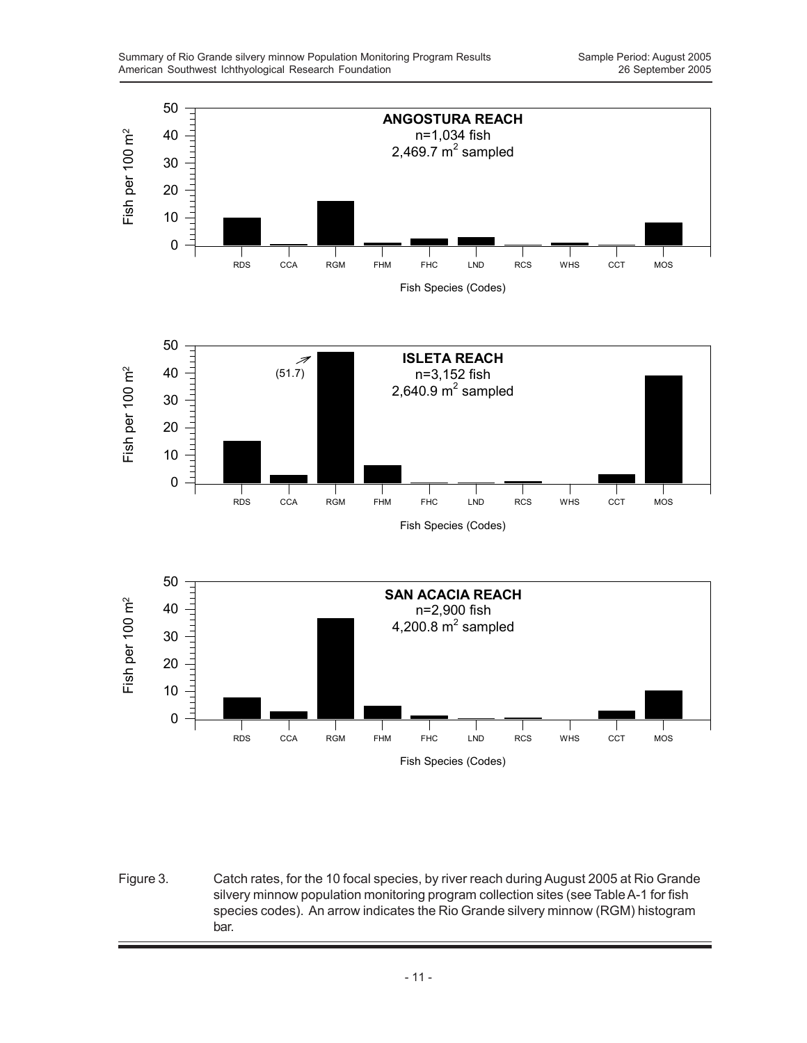

Figure 3. Catch rates, for the 10 focal species, by river reach during August 2005 at Rio Grande silvery minnow population monitoring program collection sites (see Table A-1 for fish species codes). An arrow indicates the Rio Grande silvery minnow (RGM) histogram bar.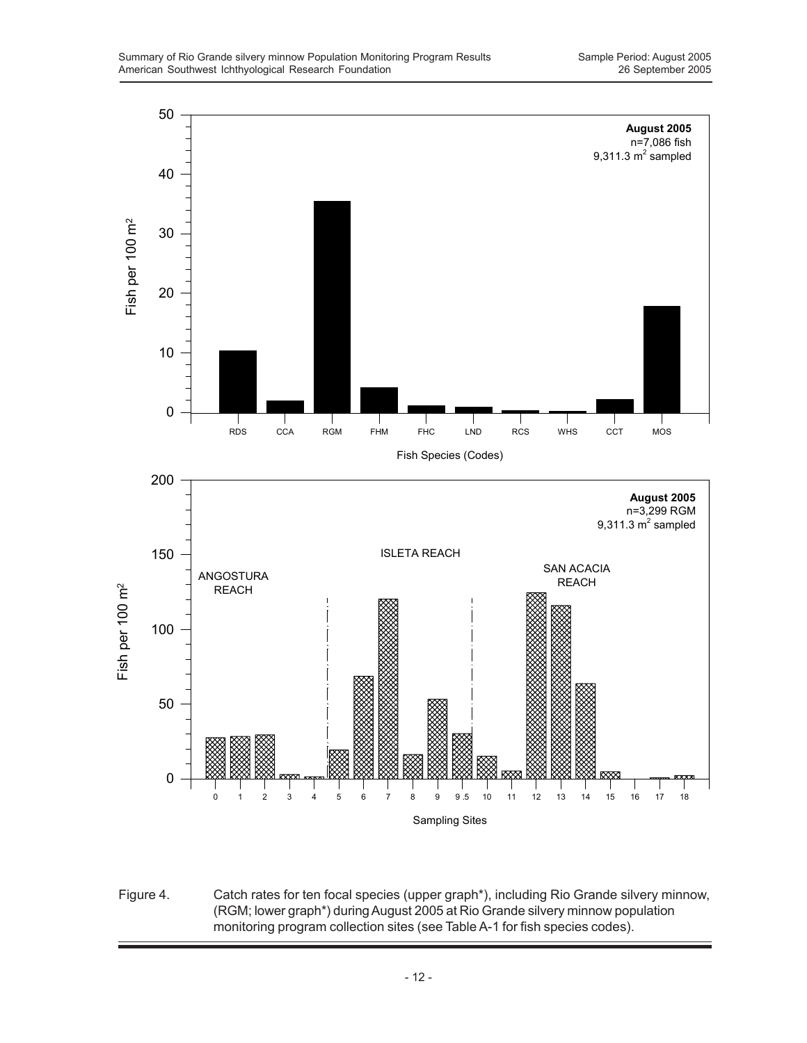

Figure 4. Catch rates for ten focal species (upper graph\*), including Rio Grande silvery minnow, (RGM; lower graph\*) during August 2005 at Rio Grande silvery minnow population monitoring program collection sites (see Table A-1 for fish species codes).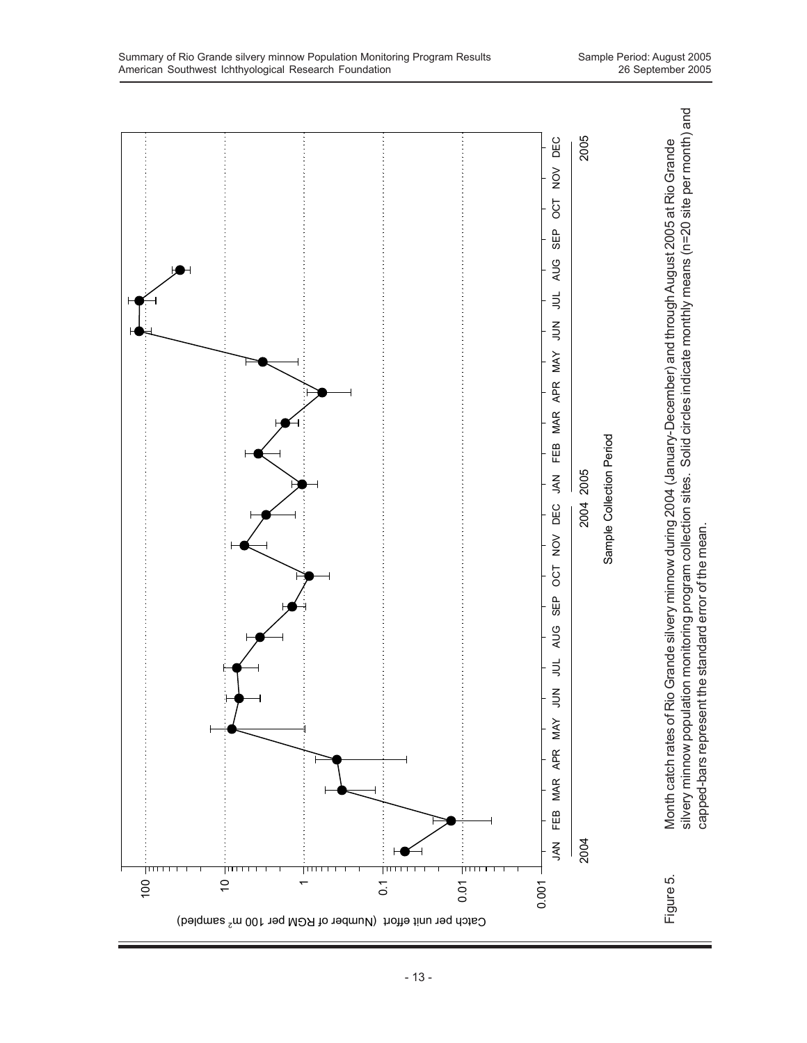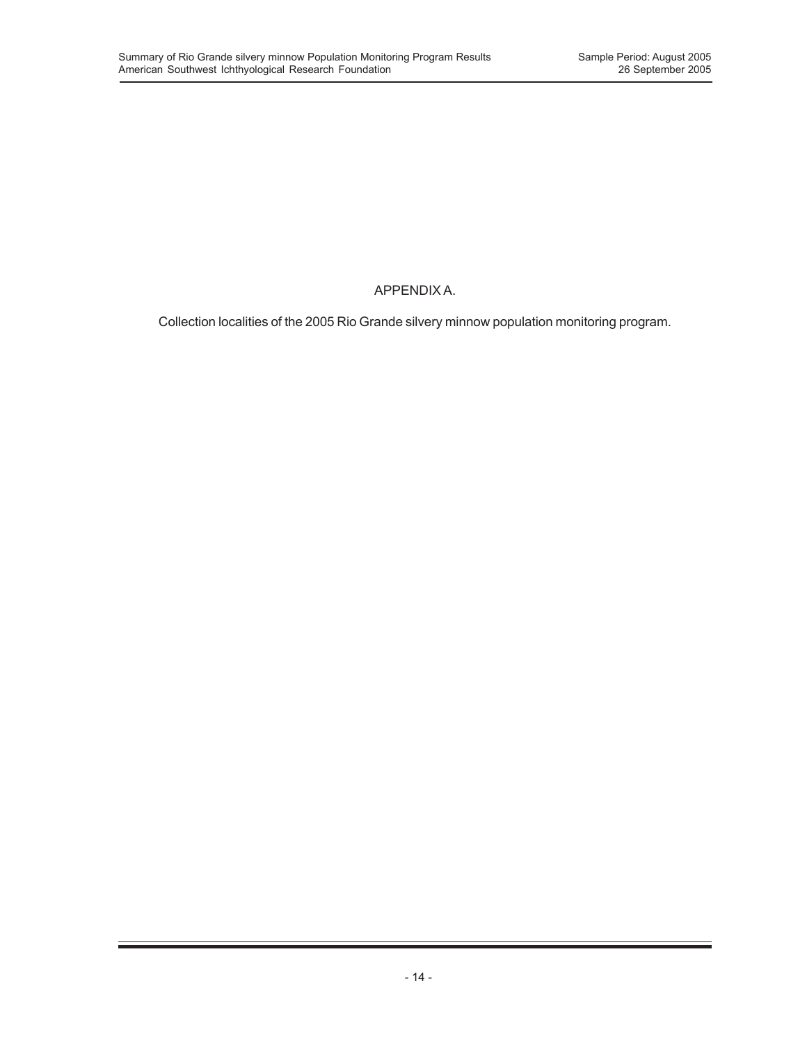# APPENDIX A.

Collection localities of the 2005 Rio Grande silvery minnow population monitoring program.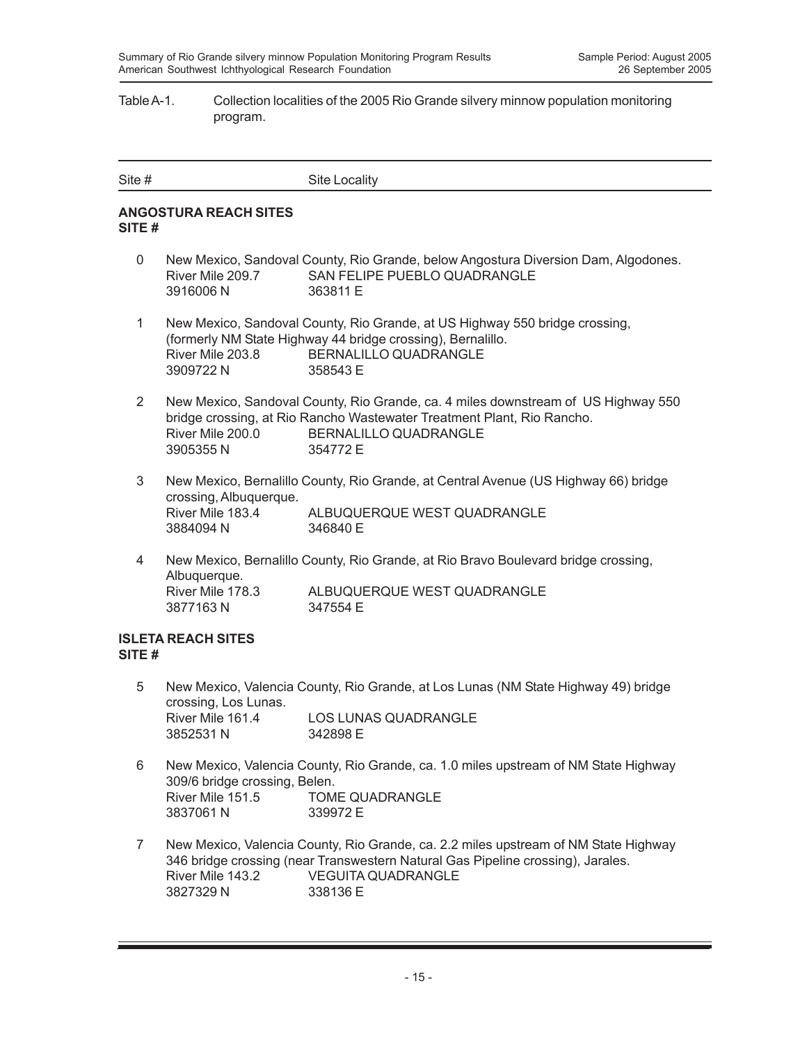### Table A-1. Collection localities of the 2005 Rio Grande silvery minnow population monitoring program.

| Site # | Site Locality |
|--------|---------------|
|        |               |

### **ANGOSTURA REACH SITES SITE #**

- 0 New Mexico, Sandoval County, Rio Grande, below Angostura Diversion Dam, Algodones. River Mile 209.7 SAN FELIPE PUEBLO QUADRANGLE 3916006 N 363811 E
- 1 New Mexico, Sandoval County, Rio Grande, at US Highway 550 bridge crossing, (formerly NM State Highway 44 bridge crossing), Bernalillo. River Mile 203.8 BERNALILLO QUADRANGLE 3909722 N 358543 E
- 2 New Mexico, Sandoval County, Rio Grande, ca. 4 miles downstream of US Highway 550 bridge crossing, at Rio Rancho Wastewater Treatment Plant, Rio Rancho. River Mile 200.0 BERNALILLO QUADRANGLE 3905355 N 354772 E
- 3 New Mexico, Bernalillo County, Rio Grande, at Central Avenue (US Highway 66) bridge crossing, Albuquerque. River Mile 183.4 ALBUQUERQUE WEST QUADRANGLE 3884094 N 346840 E
- 4 New Mexico, Bernalillo County, Rio Grande, at Rio Bravo Boulevard bridge crossing, Albuquerque. River Mile 178.3 ALBUQUERQUE WEST QUADRANGLE 3877163 N 347554 E

### **ISLETA REACH SITES SITE #**

- 5 New Mexico, Valencia County, Rio Grande, at Los Lunas (NM State Highway 49) bridge crossing, Los Lunas. River Mile 161.4 LOS LUNAS QUADRANGLE 3852531 N 342898 E
- 6 New Mexico, Valencia County, Rio Grande, ca. 1.0 miles upstream of NM State Highway 309/6 bridge crossing, Belen. River Mile 151.5 TOME QUADRANGLE 3837061 N 339972 E
- 7 New Mexico, Valencia County, Rio Grande, ca. 2.2 miles upstream of NM State Highway 346 bridge crossing (near Transwestern Natural Gas Pipeline crossing), Jarales. River Mile 143.2 VEGUITA QUADRANGLE 3827329 N 338136 E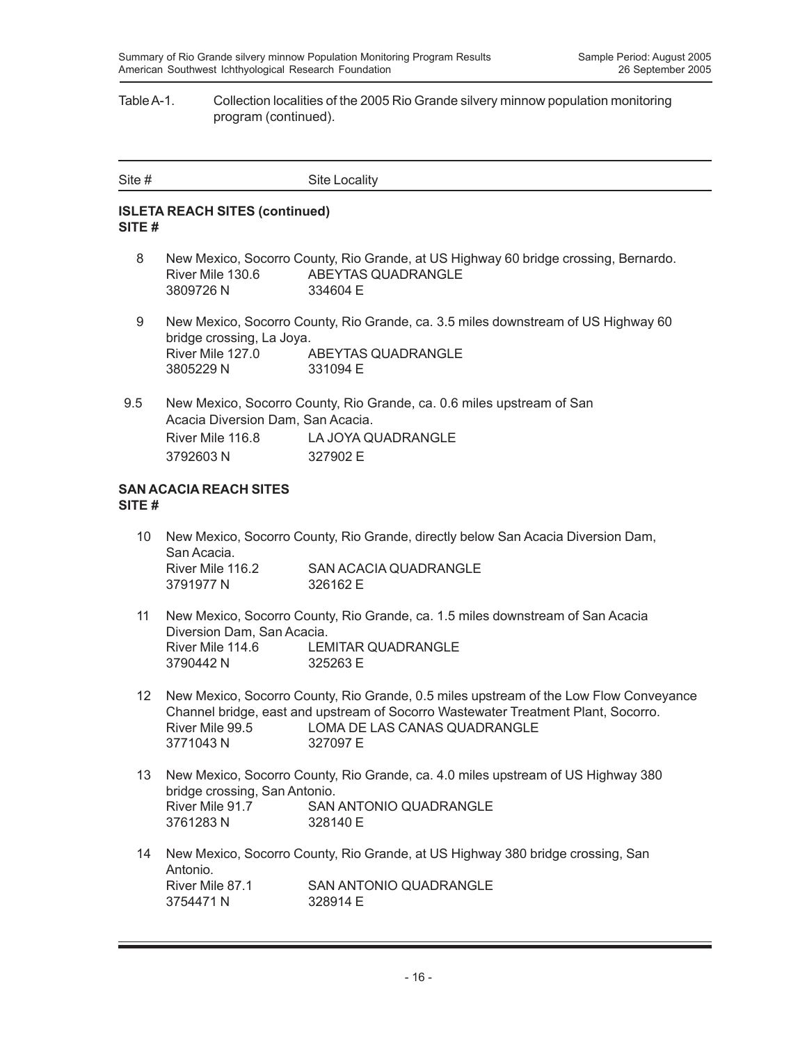#### Table A-1. Collection localities of the 2005 Rio Grande silvery minnow population monitoring program (continued).

| Site # | <b>Site Locality</b> |
|--------|----------------------|
|        |                      |

### **ISLETA REACH SITES (continued) SITE #**

- 8 New Mexico, Socorro County, Rio Grande, at US Highway 60 bridge crossing, Bernardo. River Mile 130.6 ABEYTAS QUADRANGLE 3809726 N 334604 E
- 9 New Mexico, Socorro County, Rio Grande, ca. 3.5 miles downstream of US Highway 60 bridge crossing, La Joya. River Mile 127.0 ABEYTAS QUADRANGLE 3805229 N 331094 E
- 9.5 New Mexico, Socorro County, Rio Grande, ca. 0.6 miles upstream of San Acacia Diversion Dam, San Acacia. River Mile 116.8 LA JOYA QUADRANGLE 3792603 N 327902 E

#### **SAN ACACIA REACH SITES SITE #**

- 10 New Mexico, Socorro County, Rio Grande, directly below San Acacia Diversion Dam, San Acacia. River Mile 116.2 SAN ACACIA QUADRANGLE 3791977 N 326162 E
- 11 New Mexico, Socorro County, Rio Grande, ca. 1.5 miles downstream of San Acacia Diversion Dam, San Acacia. River Mile 114.6 LEMITAR QUADRANGLE 3790442 N 325263 E
- 12 New Mexico, Socorro County, Rio Grande, 0.5 miles upstream of the Low Flow Conveyance Channel bridge, east and upstream of Socorro Wastewater Treatment Plant, Socorro. River Mile 99.5 LOMA DE LAS CANAS QUADRANGLE 3771043 N 327097 E
- 13 New Mexico, Socorro County, Rio Grande, ca. 4.0 miles upstream of US Highway 380 bridge crossing, San Antonio. River Mile 91.7 SAN ANTONIO QUADRANGLE 3761283 N 328140 E
- 14 New Mexico, Socorro County, Rio Grande, at US Highway 380 bridge crossing, San Antonio.<br>River Mile 87.1 SAN ANTONIO QUADRANGLE 3754471 N 328914 F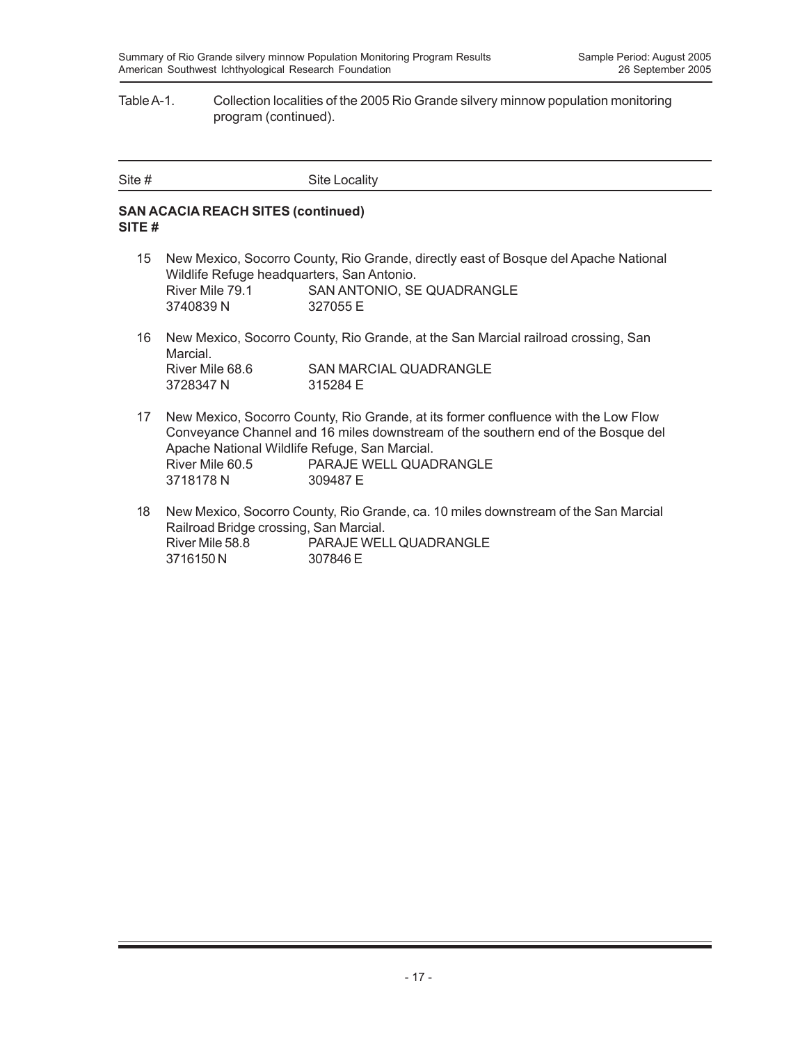#### Table A-1. Collection localities of the 2005 Rio Grande silvery minnow population monitoring program (continued).

| Site # | Site Locality |
|--------|---------------|

### **SAN ACACIA REACH SITES (continued) SITE #**

- 15 New Mexico, Socorro County, Rio Grande, directly east of Bosque del Apache National Wildlife Refuge headquarters, San Antonio. River Mile 79.1 SAN ANTONIO, SE QUADRANGLE 3740839 N 327055 E
- 16 New Mexico, Socorro County, Rio Grande, at the San Marcial railroad crossing, San Marcial. River Mile 68.6 SAN MARCIAL QUADRANGLE 3728347 N 315284 E
- 17 New Mexico, Socorro County, Rio Grande, at its former confluence with the Low Flow Conveyance Channel and 16 miles downstream of the southern end of the Bosque del Apache National Wildlife Refuge, San Marcial. River Mile 60.5 PARAJE WELL QUADRANGLE 3718178 N 309487 E
- 18 New Mexico, Socorro County, Rio Grande, ca. 10 miles downstream of the San Marcial Railroad Bridge crossing, San Marcial. River Mile 58.8 PARAJE WELL QUADRANGLE 3716150 N 307846 E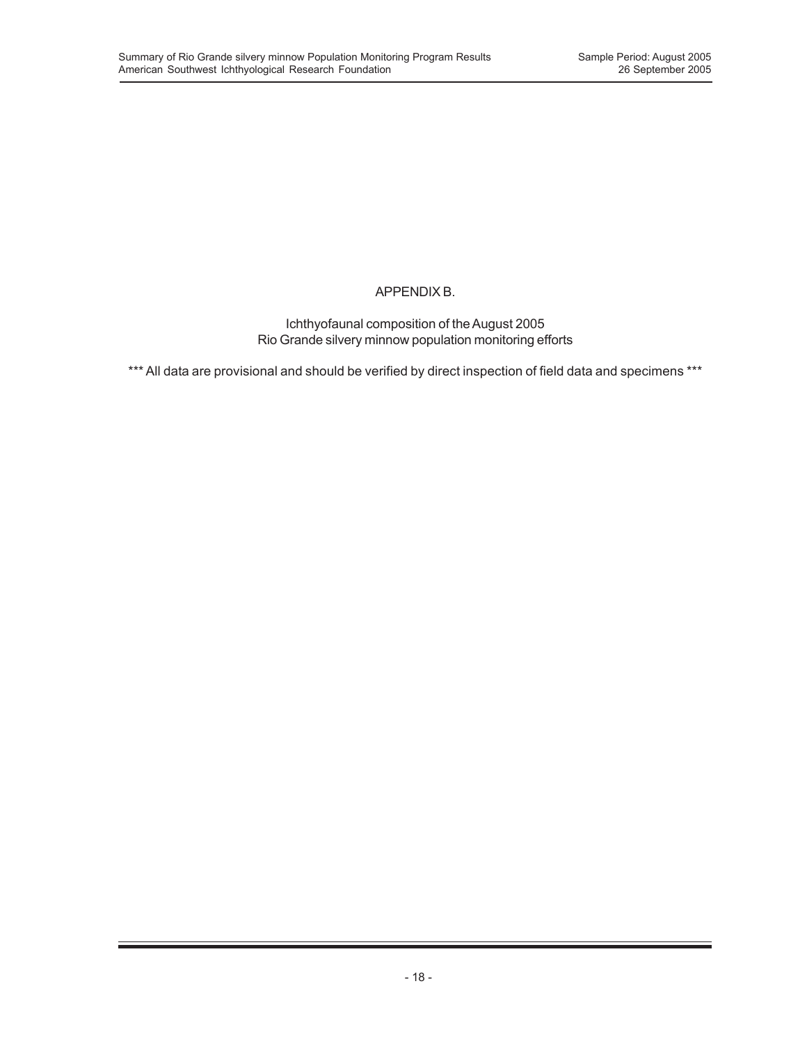## APPENDIX B.

Ichthyofaunal composition of the August 2005 Rio Grande silvery minnow population monitoring efforts

\*\*\* All data are provisional and should be verified by direct inspection of field data and specimens \*\*\*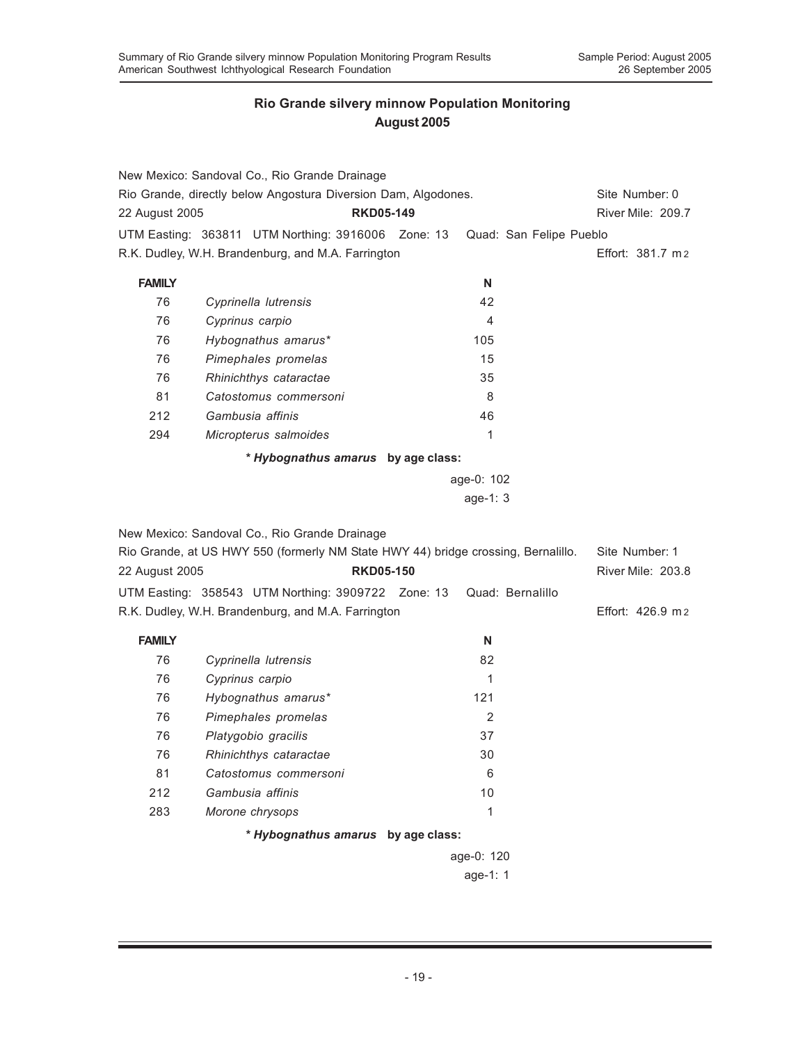|                                                                | New Mexico: Sandoval Co., Rio Grande Drainage                                     |                  |            |                         |                   |
|----------------------------------------------------------------|-----------------------------------------------------------------------------------|------------------|------------|-------------------------|-------------------|
| Rio Grande, directly below Angostura Diversion Dam, Algodones. | Site Number: 0                                                                    |                  |            |                         |                   |
| 22 August 2005                                                 |                                                                                   | <b>RKD05-149</b> |            |                         | River Mile: 209.7 |
|                                                                | UTM Easting: 363811 UTM Northing: 3916006 Zone: 13                                |                  |            | Quad: San Felipe Pueblo |                   |
|                                                                | R.K. Dudley, W.H. Brandenburg, and M.A. Farrington                                |                  |            |                         | Effort: 381.7 m2  |
| <b>FAMILY</b>                                                  |                                                                                   |                  | N          |                         |                   |
| 76                                                             | Cyprinella lutrensis                                                              |                  | 42         |                         |                   |
| 76                                                             | Cyprinus carpio                                                                   |                  | 4          |                         |                   |
| 76                                                             | Hybognathus amarus*                                                               |                  | 105        |                         |                   |
| 76                                                             | Pimephales promelas                                                               |                  | 15         |                         |                   |
| 76                                                             | Rhinichthys cataractae                                                            |                  | 35         |                         |                   |
| 81                                                             | Catostomus commersoni                                                             |                  | 8          |                         |                   |
| 212                                                            | Gambusia affinis                                                                  |                  | 46         |                         |                   |
| 294                                                            | Micropterus salmoides                                                             |                  | 1          |                         |                   |
|                                                                | * Hybognathus amarus by age class:                                                |                  |            |                         |                   |
|                                                                |                                                                                   |                  | age-0: 102 |                         |                   |
|                                                                |                                                                                   |                  | age-1: 3   |                         |                   |
|                                                                |                                                                                   |                  |            |                         |                   |
|                                                                | New Mexico: Sandoval Co., Rio Grande Drainage                                     |                  |            |                         |                   |
|                                                                | Rio Grande, at US HWY 550 (formerly NM State HWY 44) bridge crossing, Bernalillo. |                  |            |                         | Site Number: 1    |
| 22 August 2005                                                 |                                                                                   | <b>RKD05-150</b> |            |                         | River Mile: 203.8 |
|                                                                | UTM Easting: 358543 UTM Northing: 3909722 Zone: 13                                |                  |            | Quad: Bernalillo        |                   |
|                                                                | R.K. Dudley, W.H. Brandenburg, and M.A. Farrington                                |                  |            |                         | Effort: 426.9 m2  |
| <b>FAMILY</b>                                                  |                                                                                   |                  | N          |                         |                   |
| 76                                                             | Cyprinella lutrensis                                                              |                  | 82         |                         |                   |
| 76                                                             | Cyprinus carpio                                                                   |                  | 1          |                         |                   |
| 76                                                             | Hybognathus amarus*                                                               |                  | 121        |                         |                   |
| 76                                                             | Pimephales promelas                                                               |                  | 2          |                         |                   |
| 76                                                             | Platygobio gracilis                                                               |                  | 37         |                         |                   |
| 76                                                             | Rhinichthys cataractae                                                            |                  | 30         |                         |                   |
| 81                                                             | Catostomus commersoni                                                             |                  | 6          |                         |                   |
| 212                                                            | Gambusia affinis                                                                  |                  | 10         |                         |                   |
| 283                                                            | Morone chrysops                                                                   |                  | 1          |                         |                   |
|                                                                | * Hybognathus amarus by age class:                                                |                  |            |                         |                   |
|                                                                |                                                                                   |                  | age-0: 120 |                         |                   |
|                                                                |                                                                                   |                  | age-1: 1   |                         |                   |
|                                                                |                                                                                   |                  |            |                         |                   |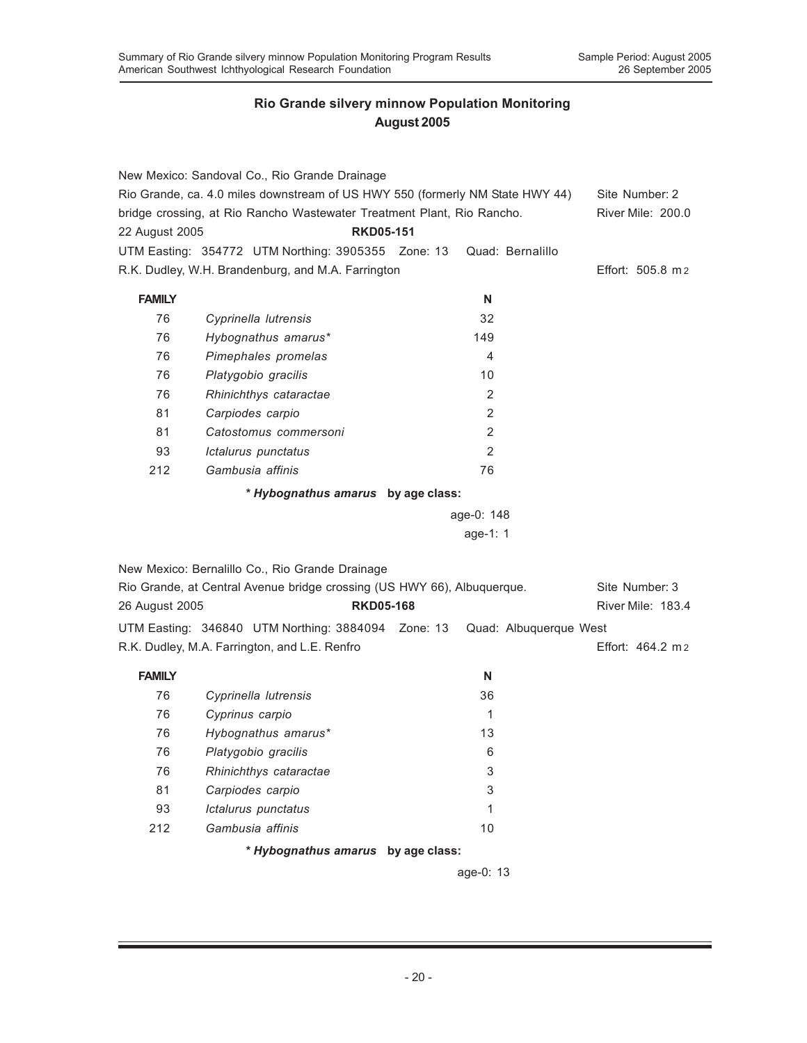|                | New Mexico: Sandoval Co., Rio Grande Drainage<br>Rio Grande, ca. 4.0 miles downstream of US HWY 550 (formerly NM State HWY 44) |                |                        | Site Number: 2<br>River Mile: 200.0 |  |  |  |
|----------------|--------------------------------------------------------------------------------------------------------------------------------|----------------|------------------------|-------------------------------------|--|--|--|
|                | bridge crossing, at Rio Rancho Wastewater Treatment Plant, Rio Rancho.<br><b>RKD05-151</b>                                     |                |                        |                                     |  |  |  |
| 22 August 2005 |                                                                                                                                |                | Quad: Bernalillo       |                                     |  |  |  |
|                | UTM Easting: 354772 UTM Northing: 3905355 Zone: 13<br>R.K. Dudley, W.H. Brandenburg, and M.A. Farrington                       |                |                        | Effort: 505.8 m 2                   |  |  |  |
|                |                                                                                                                                |                |                        |                                     |  |  |  |
| <b>FAMILY</b>  |                                                                                                                                | N              |                        |                                     |  |  |  |
| 76             | Cyprinella lutrensis                                                                                                           | 32             |                        |                                     |  |  |  |
| 76             | Hybognathus amarus*                                                                                                            | 149            |                        |                                     |  |  |  |
| 76             | Pimephales promelas                                                                                                            | 4              |                        |                                     |  |  |  |
| 76             | Platygobio gracilis                                                                                                            | 10             |                        |                                     |  |  |  |
| 76             | Rhinichthys cataractae                                                                                                         | $\overline{2}$ |                        |                                     |  |  |  |
| 81             | Carpiodes carpio                                                                                                               | $\overline{2}$ |                        |                                     |  |  |  |
| 81             | Catostomus commersoni                                                                                                          | $\overline{2}$ |                        |                                     |  |  |  |
| 93             | Ictalurus punctatus                                                                                                            | $\overline{2}$ |                        |                                     |  |  |  |
| 212            | Gambusia affinis                                                                                                               | 76             |                        |                                     |  |  |  |
|                | * Hybognathus amarus by age class:                                                                                             |                |                        |                                     |  |  |  |
|                |                                                                                                                                | age-0: 148     |                        |                                     |  |  |  |
|                |                                                                                                                                | age-1: 1       |                        |                                     |  |  |  |
|                |                                                                                                                                |                |                        |                                     |  |  |  |
|                | New Mexico: Bernalillo Co., Rio Grande Drainage                                                                                |                |                        |                                     |  |  |  |
|                | Rio Grande, at Central Avenue bridge crossing (US HWY 66), Albuquerque.                                                        |                |                        | Site Number: 3                      |  |  |  |
| 26 August 2005 | <b>RKD05-168</b>                                                                                                               |                |                        | River Mile: 183.4                   |  |  |  |
|                | UTM Easting: 346840 UTM Northing: 3884094 Zone: 13                                                                             |                | Quad: Albuquerque West |                                     |  |  |  |
|                | R.K. Dudley, M.A. Farrington, and L.E. Renfro                                                                                  |                |                        | Effort: $464.2 \text{ m2}$          |  |  |  |
|                |                                                                                                                                |                |                        |                                     |  |  |  |
| <b>FAMILY</b>  |                                                                                                                                | N              |                        |                                     |  |  |  |
| 76             | Cyprinella lutrensis                                                                                                           | 36             |                        |                                     |  |  |  |
| 76             | Cyprinus carpio                                                                                                                | 1              |                        |                                     |  |  |  |
| 76             | Hybognathus amarus*                                                                                                            | 13             |                        |                                     |  |  |  |
| 76             | Platygobio gracilis                                                                                                            | $\,6$          |                        |                                     |  |  |  |
| 76             | Rhinichthys cataractae                                                                                                         | 3              |                        |                                     |  |  |  |
| 81             | Carpiodes carpio                                                                                                               | 3              |                        |                                     |  |  |  |
| 93             | Ictalurus punctatus                                                                                                            | 1              |                        |                                     |  |  |  |
| 212            | Gambusia affinis                                                                                                               | 10             |                        |                                     |  |  |  |
|                | * Hybognathus amarus by age class:                                                                                             |                |                        |                                     |  |  |  |
|                |                                                                                                                                | age-0: 13      |                        |                                     |  |  |  |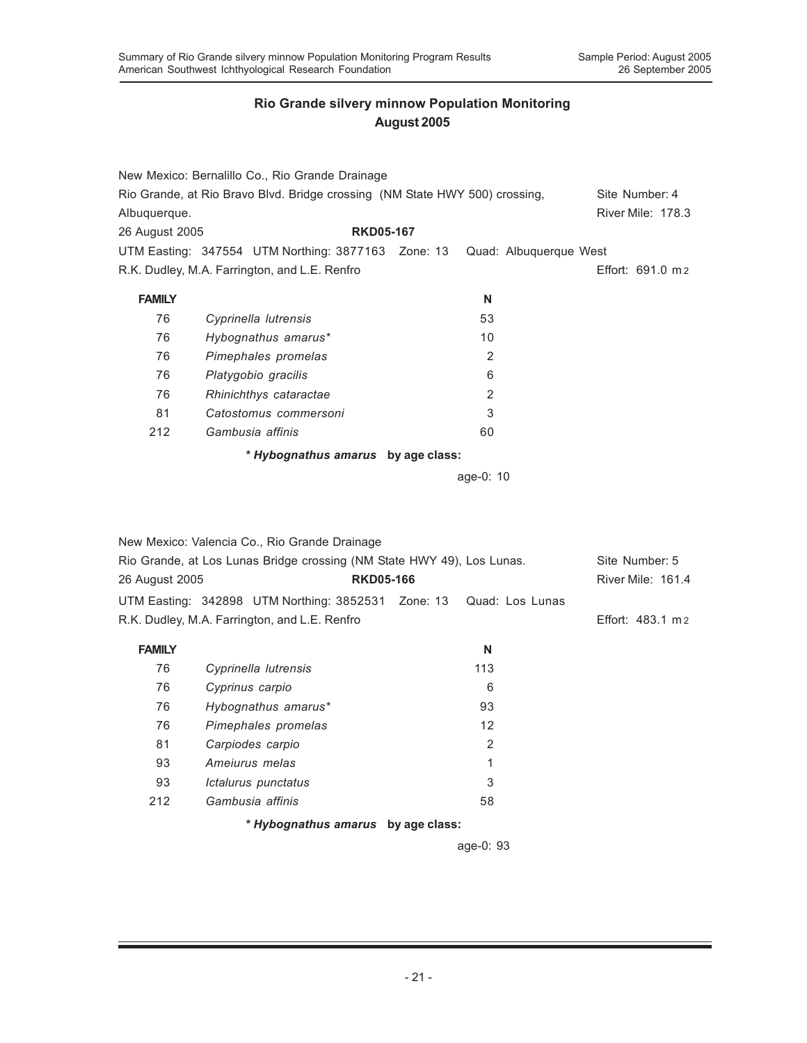|                | New Mexico: Bernalillo Co., Rio Grande Drainage                             |                        |                   |
|----------------|-----------------------------------------------------------------------------|------------------------|-------------------|
|                | Rio Grande, at Rio Bravo Blvd. Bridge crossing (NM State HWY 500) crossing, |                        | Site Number: 4    |
| Albuquerque.   |                                                                             |                        | River Mile: 178.3 |
| 26 August 2005 | <b>RKD05-167</b>                                                            |                        |                   |
|                | UTM Easting: 347554 UTM Northing: 3877163 Zone: 13                          | Quad: Albuquerque West |                   |
|                | R.K. Dudley, M.A. Farrington, and L.E. Renfro                               |                        | Effort: 691.0 m 2 |
| <b>FAMILY</b>  |                                                                             | N                      |                   |
| 76             | Cyprinella lutrensis                                                        | 53                     |                   |
| 76             | Hybognathus amarus*                                                         | 10                     |                   |
| 76             | Pimephales promelas                                                         | $\mathbf{2}$           |                   |
| 76             | Platygobio gracilis                                                         | 6                      |                   |
| 76             | Rhinichthys cataractae                                                      | $\overline{2}$         |                   |
| 81             | Catostomus commersoni                                                       | 3                      |                   |
| 212            | Gambusia affinis                                                            | 60                     |                   |
|                | * Hybognathus amarus by age class:                                          |                        |                   |
|                |                                                                             | age-0: 10              |                   |
|                |                                                                             |                        |                   |
|                |                                                                             |                        |                   |
|                | New Mexico: Valencia Co., Rio Grande Drainage                               |                        |                   |
|                | Rio Grande, at Los Lunas Bridge crossing (NM State HWY 49), Los Lunas.      |                        | Site Number: 5    |
| 26 August 2005 | <b>RKD05-166</b>                                                            |                        | River Mile: 161.4 |
|                | UTM Easting: 342898 UTM Northing: 3852531 Zone: 13                          | Quad: Los Lunas        |                   |
|                | R.K. Dudley, M.A. Farrington, and L.E. Renfro                               |                        | Effort: 483.1 m 2 |
| <b>FAMILY</b>  |                                                                             | N                      |                   |
| 76             | Cyprinella lutrensis                                                        | 113                    |                   |
| 76             | Cyprinus carpio                                                             | 6                      |                   |
| 76             | Hybognathus amarus*                                                         | 93                     |                   |
| 76             | Pimephales promelas                                                         | 12                     |                   |
| 81             | Carpiodes carpio                                                            | 2                      |                   |
| 93             | Ameiurus melas                                                              | 1                      |                   |
| 93             | Ictalurus punctatus                                                         | 3                      |                   |
| 212            | Gambusia affinis                                                            | 58                     |                   |
|                | * Hybognathus amarus by age class:                                          |                        |                   |

age-0: 93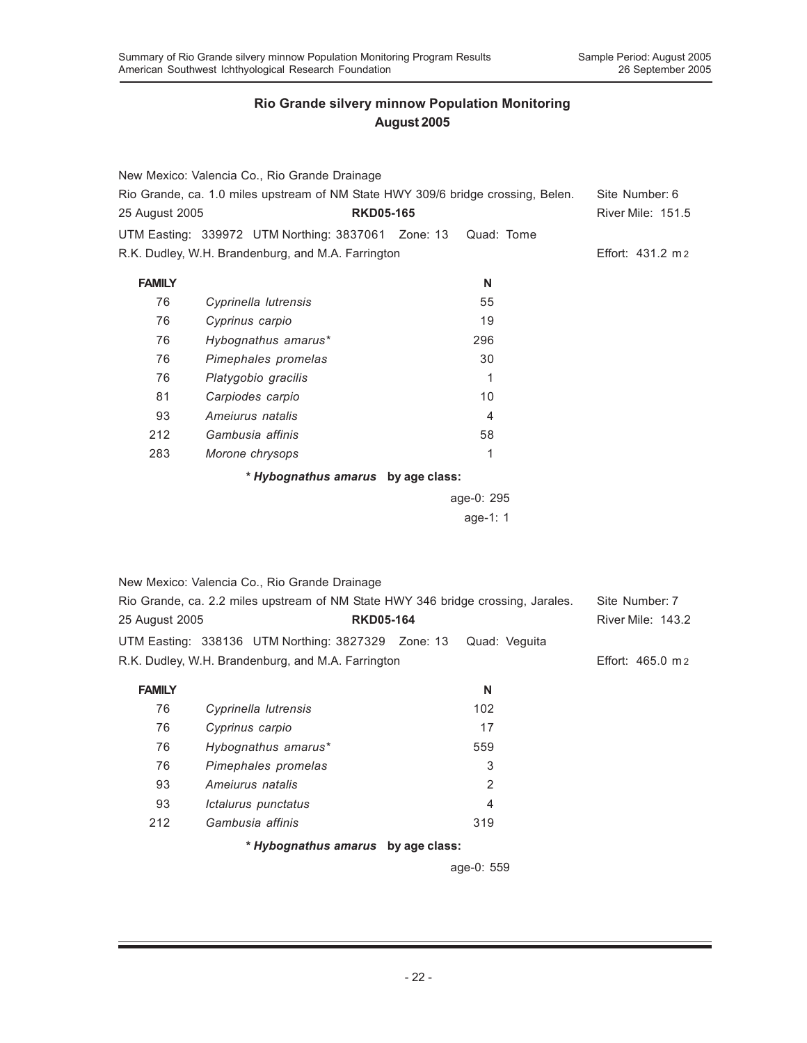|                | New Mexico: Valencia Co., Rio Grande Drainage                                                      |                                                                                  |                   |  |  |  |  |
|----------------|----------------------------------------------------------------------------------------------------|----------------------------------------------------------------------------------|-------------------|--|--|--|--|
|                |                                                                                                    | Rio Grande, ca. 1.0 miles upstream of NM State HWY 309/6 bridge crossing, Belen. | Site Number: 6    |  |  |  |  |
| 25 August 2005 | <b>RKD05-165</b>                                                                                   |                                                                                  | River Mile: 151.5 |  |  |  |  |
|                | UTM Easting: 339972 UTM Northing: 3837061 Zone: 13                                                 | Quad: Tome                                                                       |                   |  |  |  |  |
|                | R.K. Dudley, W.H. Brandenburg, and M.A. Farrington                                                 |                                                                                  | Effort: 431.2 m 2 |  |  |  |  |
| <b>FAMILY</b>  |                                                                                                    | N                                                                                |                   |  |  |  |  |
| 76             | Cyprinella lutrensis                                                                               | 55                                                                               |                   |  |  |  |  |
| 76             | Cyprinus carpio                                                                                    | 19                                                                               |                   |  |  |  |  |
| 76             | Hybognathus amarus*                                                                                | 296                                                                              |                   |  |  |  |  |
| 76             | Pimephales promelas                                                                                | 30                                                                               |                   |  |  |  |  |
| 76             | Platygobio gracilis                                                                                | $\mathbf{1}$                                                                     |                   |  |  |  |  |
| 81             | Carpiodes carpio                                                                                   | 10                                                                               |                   |  |  |  |  |
| 93             | Amejurus natalis                                                                                   | 4                                                                                |                   |  |  |  |  |
| 212            | Gambusia affinis                                                                                   | 58                                                                               |                   |  |  |  |  |
| 283            | Morone chrysops                                                                                    | 1                                                                                |                   |  |  |  |  |
|                | * Hybognathus amarus by age class:                                                                 |                                                                                  |                   |  |  |  |  |
|                |                                                                                                    | age-0: 295                                                                       |                   |  |  |  |  |
|                |                                                                                                    | age-1: 1                                                                         |                   |  |  |  |  |
|                |                                                                                                    |                                                                                  |                   |  |  |  |  |
|                |                                                                                                    |                                                                                  |                   |  |  |  |  |
|                | New Mexico: Valencia Co., Rio Grande Drainage                                                      |                                                                                  |                   |  |  |  |  |
|                | Rio Grande, ca. 2.2 miles upstream of NM State HWY 346 bridge crossing, Jarales.<br>Site Number: 7 |                                                                                  |                   |  |  |  |  |

| 25 August 2005                                     |  | <b>RKD05-164</b>                                                 |  |                   | <b>River Mile: 143.2</b> |  |
|----------------------------------------------------|--|------------------------------------------------------------------|--|-------------------|--------------------------|--|
|                                                    |  | UTM Easting: 338136 UTM Northing: 3827329 Zone: 13 Quad: Veguita |  |                   |                          |  |
| R.K. Dudley, W.H. Brandenburg, and M.A. Farrington |  |                                                                  |  | Effort: 465.0 m 2 |                          |  |

| FAMILY |                                    | N                                                       |
|--------|------------------------------------|---------------------------------------------------------|
| 76     | Cyprinella lutrensis               | 102                                                     |
| 76     | Cyprinus carpio                    | 17                                                      |
| 76     | Hybognathus amarus*                | 559                                                     |
| 76     | Pimephales promelas                | 3                                                       |
| 93     | Amejurus natalis                   | $\overline{2}$                                          |
| 93     | Ictalurus punctatus                | 4                                                       |
| 212    | Gambusia affinis                   | 319                                                     |
|        | * Hybognathus amarus by age class: |                                                         |
|        |                                    | $\sim$ $\sim$ $\sim$ $\sim$ $\sim$ $\sim$ $\sim$ $\sim$ |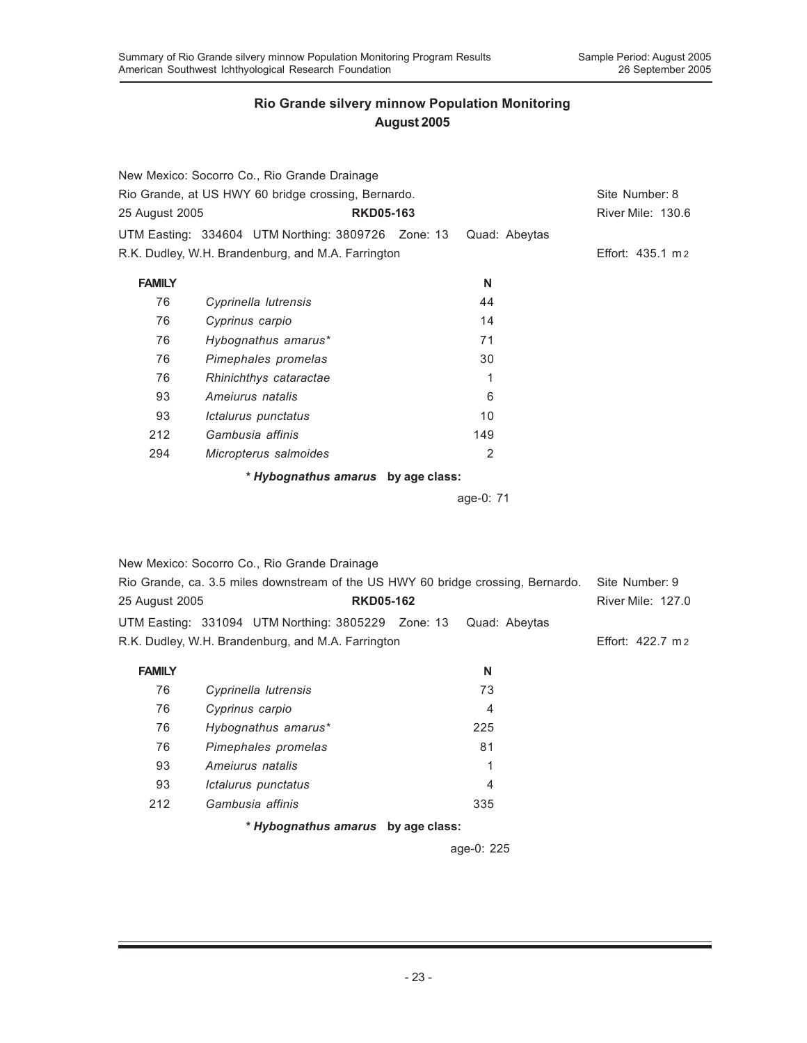|                | New Mexico: Socorro Co., Rio Grande Drainage        |           |               | Site Number: 8    |
|----------------|-----------------------------------------------------|-----------|---------------|-------------------|
|                | Rio Grande, at US HWY 60 bridge crossing, Bernardo. |           |               |                   |
| 25 August 2005 | <b>RKD05-163</b>                                    |           |               | River Mile: 130.6 |
|                | UTM Easting: 334604 UTM Northing: 3809726 Zone: 13  |           | Quad: Abeytas |                   |
|                | R.K. Dudley, W.H. Brandenburg, and M.A. Farrington  |           |               | Effort: 435.1 m 2 |
| <b>FAMILY</b>  |                                                     | N         |               |                   |
| 76             | Cyprinella lutrensis                                | 44        |               |                   |
| 76             | Cyprinus carpio                                     | 14        |               |                   |
| 76             | Hybognathus amarus*                                 | 71        |               |                   |
| 76             | Pimephales promelas                                 | 30        |               |                   |
| 76             | Rhinichthys cataractae                              | 1         |               |                   |
| 93             | Amejurus natalis                                    | 6         |               |                   |
| 93             | Ictalurus punctatus                                 | 10        |               |                   |
| 212            | Gambusia affinis                                    | 149       |               |                   |
| 294            | Micropterus salmoides                               | 2         |               |                   |
|                | * Hybognathus amarus by age class:                  |           |               |                   |
|                |                                                     | age-0: 71 |               |                   |
|                |                                                     |           |               |                   |
|                |                                                     |           |               |                   |
|                |                                                     |           |               |                   |

|                | New Mexico: Socorro Co., Rio Grande Drainage                                     |  |                          |  |
|----------------|----------------------------------------------------------------------------------|--|--------------------------|--|
|                | Rio Grande, ca. 3.5 miles downstream of the US HWY 60 bridge crossing, Bernardo. |  | Site Number: 9           |  |
| 25 August 2005 | <b>RKD05-162</b>                                                                 |  | <b>River Mile: 127.0</b> |  |
|                |                                                                                  |  |                          |  |
|                | R.K. Dudley, W.H. Brandenburg, and M.A. Farrington                               |  | Effort: 422.7 m 2        |  |

| <b>FAMILY</b> |                                    | N   |  |
|---------------|------------------------------------|-----|--|
| 76            | Cyprinella lutrensis               | 73  |  |
| 76            | Cyprinus carpio                    | 4   |  |
| 76            | Hybognathus amarus*                | 225 |  |
| 76            | Pimephales promelas                | 81  |  |
| 93            | Ameiurus natalis                   | 1   |  |
| 93            | Ictalurus punctatus                | 4   |  |
| 212           | Gambusia affinis                   | 335 |  |
|               | * Hybognathus amarus by age class: |     |  |

age-0: 225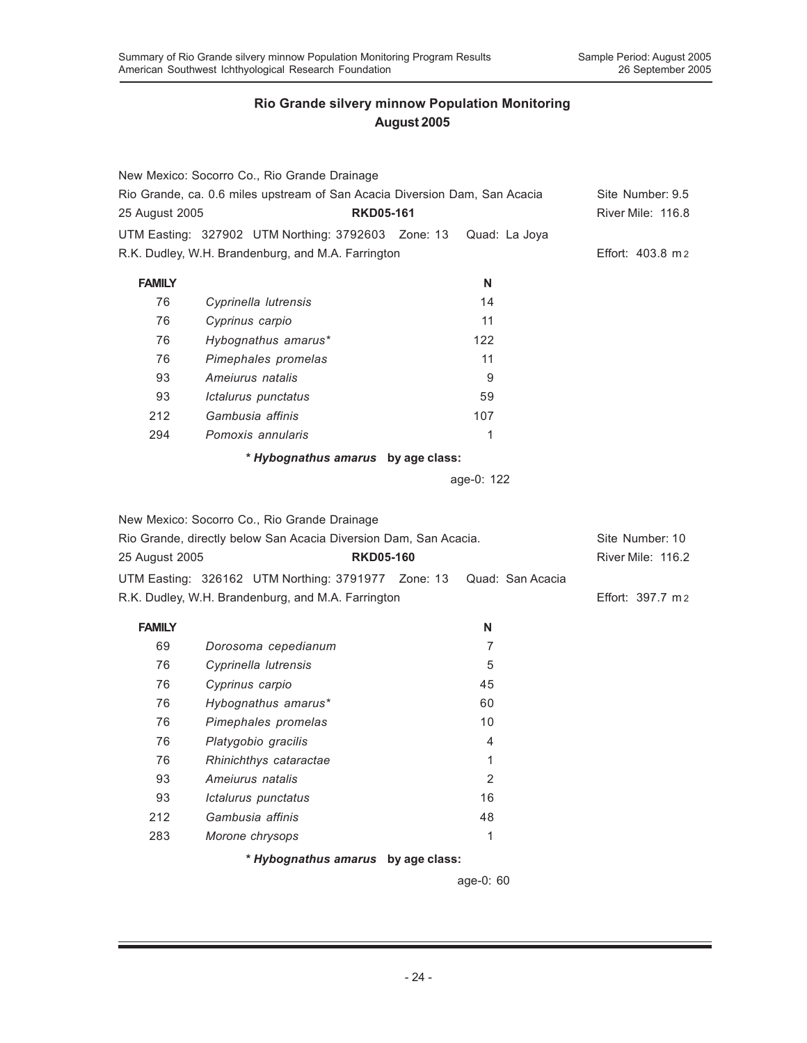|                | New Mexico: Socorro Co., Rio Grande Drainage                     | Rio Grande, ca. 0.6 miles upstream of San Acacia Diversion Dam, San Acacia | Site Number: 9.5  |
|----------------|------------------------------------------------------------------|----------------------------------------------------------------------------|-------------------|
| 25 August 2005 |                                                                  | <b>RKD05-161</b>                                                           | River Mile: 116.8 |
|                | UTM Easting: 327902 UTM Northing: 3792603 Zone: 13               | Quad: La Joya                                                              |                   |
|                | R.K. Dudley, W.H. Brandenburg, and M.A. Farrington               |                                                                            | Effort: 403.8 m 2 |
| <b>FAMILY</b>  |                                                                  | N                                                                          |                   |
| 76             | Cyprinella lutrensis                                             | 14                                                                         |                   |
| 76             | Cyprinus carpio                                                  | 11                                                                         |                   |
| 76             | Hybognathus amarus*                                              | 122                                                                        |                   |
| 76             | Pimephales promelas                                              | 11                                                                         |                   |
| 93             | Ameiurus natalis                                                 | 9                                                                          |                   |
| 93             | Ictalurus punctatus                                              | 59                                                                         |                   |
| 212            | Gambusia affinis                                                 | 107                                                                        |                   |
| 294            | Pomoxis annularis                                                | 1                                                                          |                   |
|                | * Hybognathus amarus by age class:                               |                                                                            |                   |
|                |                                                                  | age-0: 122                                                                 |                   |
|                |                                                                  |                                                                            |                   |
|                | New Mexico: Socorro Co., Rio Grande Drainage                     |                                                                            |                   |
|                | Rio Grande, directly below San Acacia Diversion Dam, San Acacia. |                                                                            | Site Number: 10   |
| 25 August 2005 |                                                                  | <b>RKD05-160</b>                                                           | River Mile: 116.2 |
|                | UTM Easting: 326162 UTM Northing: 3791977 Zone: 13               | Quad: San Acacia                                                           |                   |
|                | R.K. Dudley, W.H. Brandenburg, and M.A. Farrington               |                                                                            | Effort: 397.7 m 2 |
| <b>FAMILY</b>  |                                                                  | N                                                                          |                   |
| 69             | Dorosoma cepedianum                                              | 7                                                                          |                   |
| 76             | Cyprinella lutrensis                                             | 5                                                                          |                   |
| 76             | Cyprinus carpio                                                  | 45                                                                         |                   |
| 76             | Hybognathus amarus*                                              | 60                                                                         |                   |
| 76             | Pimephales promelas                                              | 10                                                                         |                   |
| 76             | Platygobio gracilis                                              | 4                                                                          |                   |
| 76             | Rhinichthys cataractae                                           | 1                                                                          |                   |
| 93             | Ameiurus natalis                                                 | $\overline{2}$                                                             |                   |
| 93             | Ictalurus punctatus                                              | 16                                                                         |                   |
| 212            | Gambusia affinis                                                 | 48                                                                         |                   |
| 283            | Morone chrysops                                                  | 1                                                                          |                   |
|                | * Hybognathus amarus                                             | by age class:                                                              |                   |

age-0: 60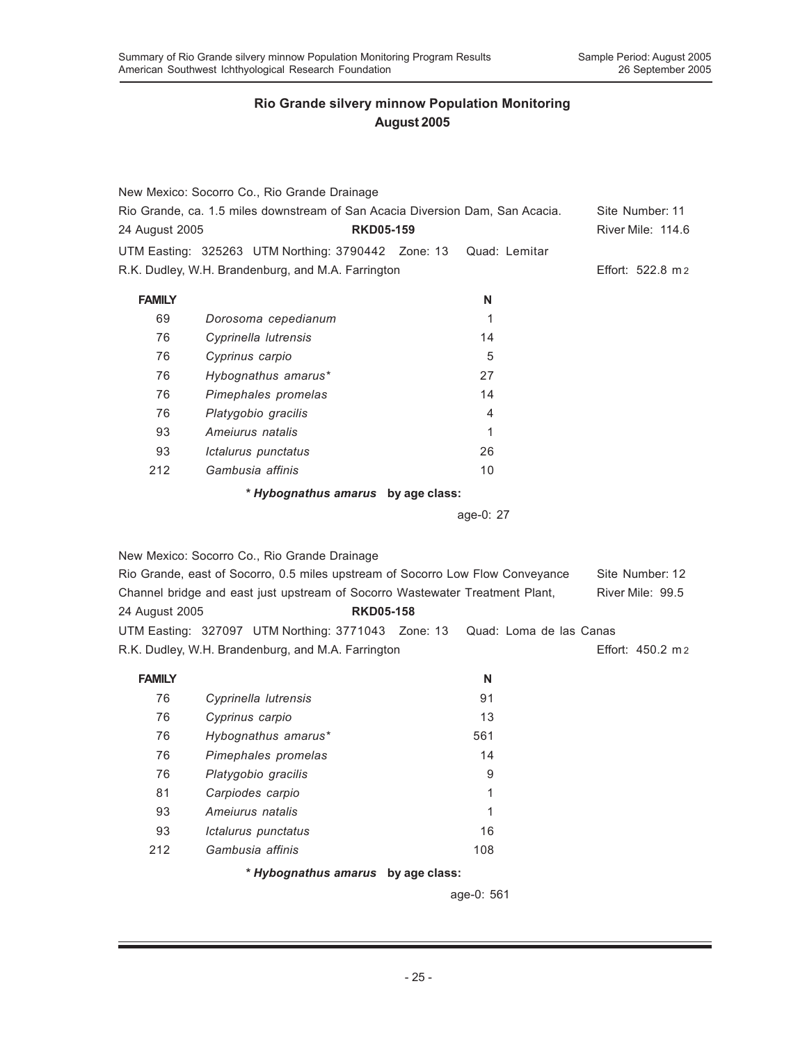|                | New Mexico: Socorro Co., Rio Grande Drainage                                   |                                    |                         |                   |
|----------------|--------------------------------------------------------------------------------|------------------------------------|-------------------------|-------------------|
|                | Rio Grande, ca. 1.5 miles downstream of San Acacia Diversion Dam, San Acacia.  |                                    |                         | Site Number: 11   |
| 24 August 2005 |                                                                                | <b>RKD05-159</b>                   |                         | River Mile: 114.6 |
|                | UTM Easting: 325263 UTM Northing: 3790442 Zone: 13                             |                                    | Quad: Lemitar           |                   |
|                | R.K. Dudley, W.H. Brandenburg, and M.A. Farrington                             |                                    |                         | Effort: 522.8 m 2 |
| <b>FAMILY</b>  |                                                                                |                                    | N                       |                   |
| 69             | Dorosoma cepedianum                                                            |                                    | 1                       |                   |
| 76             | Cyprinella lutrensis                                                           |                                    | 14                      |                   |
| 76             | Cyprinus carpio                                                                |                                    | 5                       |                   |
| 76             | Hybognathus amarus*                                                            |                                    | 27                      |                   |
| 76             | Pimephales promelas                                                            |                                    | 14                      |                   |
| 76             | Platygobio gracilis                                                            |                                    | 4                       |                   |
| 93             | Amejurus natalis                                                               |                                    | 1                       |                   |
| 93             | Ictalurus punctatus                                                            |                                    | 26                      |                   |
| 212            | Gambusia affinis                                                               |                                    | 10                      |                   |
|                |                                                                                | * Hybognathus amarus by age class: |                         |                   |
|                |                                                                                |                                    | age-0: 27               |                   |
|                |                                                                                |                                    |                         |                   |
|                | New Mexico: Socorro Co., Rio Grande Drainage                                   |                                    |                         |                   |
|                | Rio Grande, east of Socorro, 0.5 miles upstream of Socorro Low Flow Conveyance |                                    |                         | Site Number: 12   |
|                | Channel bridge and east just upstream of Socorro Wastewater Treatment Plant,   |                                    |                         | River Mile: 99.5  |
| 24 August 2005 |                                                                                | <b>RKD05-158</b>                   |                         |                   |
|                | UTM Easting: 327097 UTM Northing: 3771043 Zone: 13                             |                                    | Quad: Loma de las Canas |                   |
|                | R.K. Dudley, W.H. Brandenburg, and M.A. Farrington                             |                                    |                         | Effort: 450.2 m 2 |
| <b>FAMILY</b>  |                                                                                |                                    | N                       |                   |
| 76             | Cyprinella lutrensis                                                           |                                    | 91                      |                   |
| 76             | Cyprinus carpio                                                                |                                    | 13                      |                   |
| 76             | Hybognathus amarus*                                                            |                                    | 561                     |                   |
| 76             | Pimephales promelas                                                            |                                    | 14                      |                   |
| 76             | Platygobio gracilis                                                            |                                    | 9                       |                   |
| 81             | Carpiodes carpio                                                               |                                    | 1                       |                   |
| 93             | Ameiurus natalis                                                               |                                    | 1                       |                   |
| 93             | Ictalurus punctatus                                                            |                                    | 16                      |                   |
| 212            | Gambusia affinis                                                               |                                    | 108                     |                   |
|                |                                                                                | * Hybognathus amarus by age class: |                         |                   |
|                |                                                                                |                                    | age-0: 561              |                   |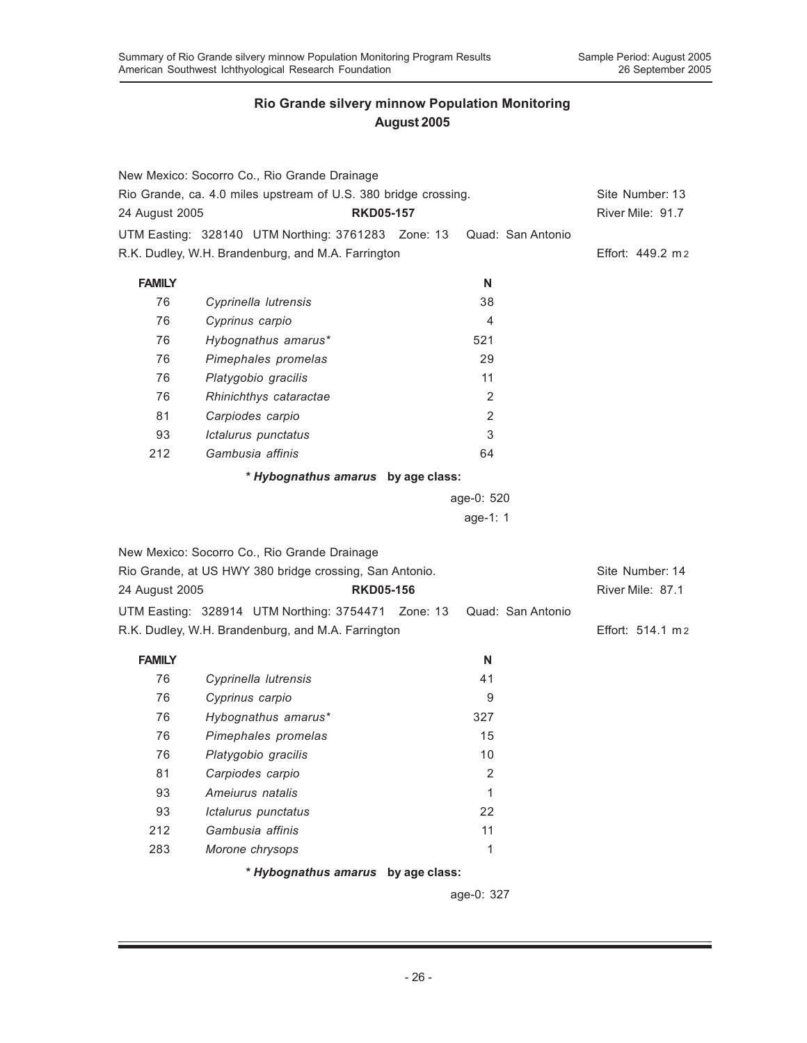|                | New Mexico: Socorro Co., Rio Grande Drainage                    |                  |                   |                   |
|----------------|-----------------------------------------------------------------|------------------|-------------------|-------------------|
|                | Rio Grande, ca. 4.0 miles upstream of U.S. 380 bridge crossing. |                  |                   | Site Number: 13   |
| 24 August 2005 |                                                                 | <b>RKD05-157</b> |                   | River Mile: 91.7  |
|                | UTM Easting: 328140 UTM Northing: 3761283 Zone: 13              |                  | Quad: San Antonio |                   |
|                | R.K. Dudley, W.H. Brandenburg, and M.A. Farrington              |                  |                   | Effort: 449.2 m 2 |
| <b>FAMILY</b>  |                                                                 |                  | N                 |                   |
| 76             | Cyprinella lutrensis                                            |                  | 38                |                   |
| 76             | Cyprinus carpio                                                 |                  | 4                 |                   |
| 76             | Hybognathus amarus*                                             |                  | 521               |                   |
| 76             | Pimephales promelas                                             |                  | 29                |                   |
| 76             | Platygobio gracilis                                             |                  | 11                |                   |
| 76             | Rhinichthys cataractae                                          |                  | 2                 |                   |
| 81             | Carpiodes carpio                                                |                  | $\overline{2}$    |                   |
| 93             | Ictalurus punctatus                                             |                  | 3                 |                   |
| 212            | Gambusia affinis                                                |                  | 64                |                   |
|                | * Hybognathus amarus by age class:                              |                  |                   |                   |
|                |                                                                 |                  | age-0: 520        |                   |
|                |                                                                 |                  | age-1: 1          |                   |
|                |                                                                 |                  |                   |                   |
|                | New Mexico: Socorro Co., Rio Grande Drainage                    |                  |                   |                   |
|                | Rio Grande, at US HWY 380 bridge crossing, San Antonio.         |                  |                   | Site Number: 14   |
| 24 August 2005 |                                                                 | <b>RKD05-156</b> |                   | River Mile: 87.1  |
|                | UTM Easting: 328914 UTM Northing: 3754471 Zone: 13              |                  | Quad: San Antonio |                   |
|                | R.K. Dudley, W.H. Brandenburg, and M.A. Farrington              |                  |                   | Effort: 514.1 m2  |
| <b>FAMILY</b>  |                                                                 |                  | N                 |                   |
| 76             | Cyprinella lutrensis                                            |                  | 41                |                   |
| 76             | Cyprinus carpio                                                 |                  | 9                 |                   |
| 76             | Hybognathus amarus*                                             |                  | 327               |                   |
| 76             | Pimephales promelas                                             |                  | 15                |                   |
| 76             | Platygobio gracilis                                             |                  | 10                |                   |
| 81             | Carpiodes carpio                                                |                  | $\sqrt{2}$        |                   |
| 93             | Ameiurus natalis                                                |                  | $\mathbf{1}$      |                   |
| 93             | Ictalurus punctatus                                             |                  | 22                |                   |
| 212            | Gambusia affinis                                                |                  | 11                |                   |
| 283            | Morone chrysops                                                 |                  | 1                 |                   |
|                | * Hybognathus amarus by age class:                              |                  |                   |                   |
|                |                                                                 |                  | age-0: 327        |                   |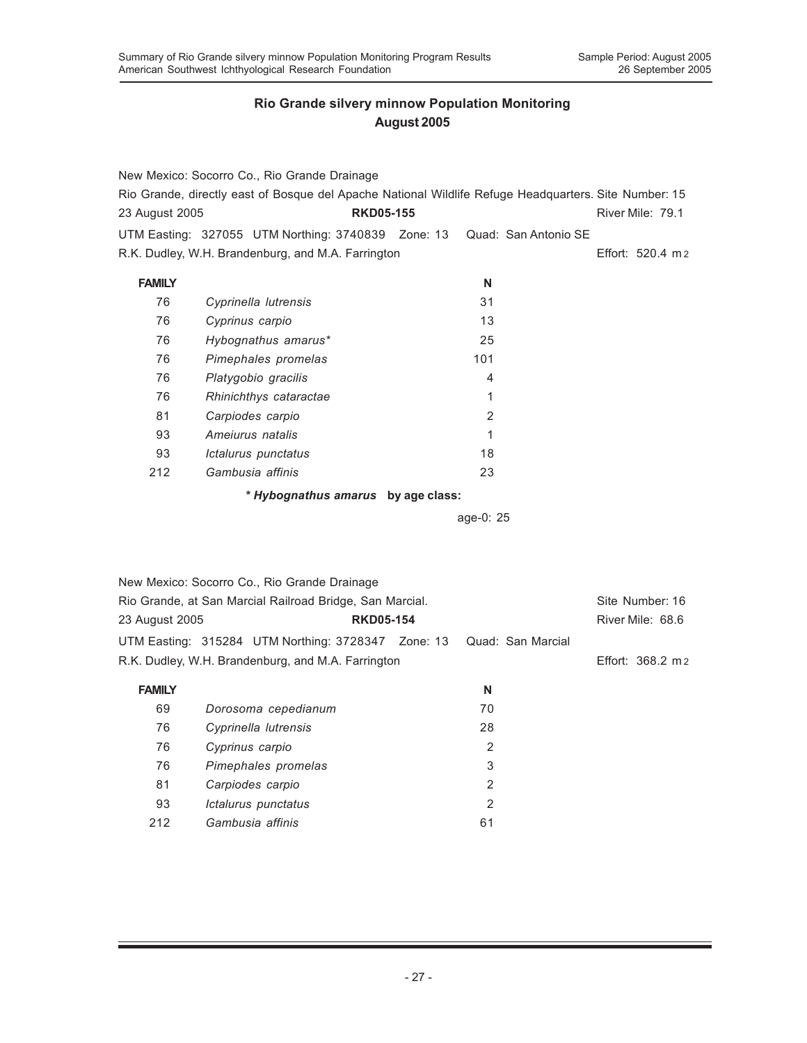|                | New Mexico: Socorro Co., Rio Grande Drainage             |                                                                                                       |                      |
|----------------|----------------------------------------------------------|-------------------------------------------------------------------------------------------------------|----------------------|
|                |                                                          | Rio Grande, directly east of Bosque del Apache National Wildlife Refuge Headquarters. Site Number: 15 |                      |
| 23 August 2005 |                                                          | <b>RKD05-155</b>                                                                                      | River Mile: 79.1     |
|                | UTM Easting: 327055 UTM Northing: 3740839 Zone: 13       |                                                                                                       | Quad: San Antonio SE |
|                | R.K. Dudley, W.H. Brandenburg, and M.A. Farrington       |                                                                                                       | Effort: 520.4 m 2    |
|                |                                                          |                                                                                                       |                      |
| <b>FAMILY</b>  |                                                          | N                                                                                                     |                      |
| 76             | Cyprinella lutrensis                                     | 31                                                                                                    |                      |
| 76             | Cyprinus carpio                                          | 13                                                                                                    |                      |
| 76             | Hybognathus amarus*                                      | 25                                                                                                    |                      |
| 76             | Pimephales promelas                                      | 101                                                                                                   |                      |
| 76             | Platygobio gracilis                                      | 4                                                                                                     |                      |
| 76             | Rhinichthys cataractae                                   | 1                                                                                                     |                      |
| 81             | Carpiodes carpio                                         | $\overline{2}$                                                                                        |                      |
| 93             | Ameiurus natalis                                         | 1                                                                                                     |                      |
| 93             | Ictalurus punctatus                                      | 18                                                                                                    |                      |
| 212            | Gambusia affinis                                         | 23                                                                                                    |                      |
|                |                                                          | * Hybognathus amarus by age class:                                                                    |                      |
|                |                                                          | age-0: 25                                                                                             |                      |
|                |                                                          |                                                                                                       |                      |
|                |                                                          |                                                                                                       |                      |
|                |                                                          |                                                                                                       |                      |
|                | New Mexico: Socorro Co., Rio Grande Drainage             |                                                                                                       |                      |
|                | Rio Grande, at San Marcial Railroad Bridge, San Marcial. |                                                                                                       | Site Number: 16      |
| 23 August 2005 |                                                          | <b>RKD05-154</b>                                                                                      | River Mile: 68.6     |
|                | UTM Easting: 315284 UTM Northing: 3728347 Zone: 13       | Quad: San Marcial                                                                                     |                      |
|                | R.K. Dudley, W.H. Brandenburg, and M.A. Farrington       |                                                                                                       | Effort: 368.2 m 2    |
| <b>FAMILY</b>  |                                                          | N                                                                                                     |                      |
| 69             | Dorosoma cepedianum                                      | 70                                                                                                    |                      |
| 76             | Cyprinella lutrensis                                     | 28                                                                                                    |                      |
| 76             | Cyprinus carpio                                          | 2                                                                                                     |                      |
| 76             | Pimephales promelas                                      | 3                                                                                                     |                      |
| 81             | Carpiodes carpio                                         | $\overline{2}$                                                                                        |                      |
| 93             | Ictalurus punctatus                                      | $\overline{2}$                                                                                        |                      |
| 212            | Gambusia affinis                                         | 61                                                                                                    |                      |